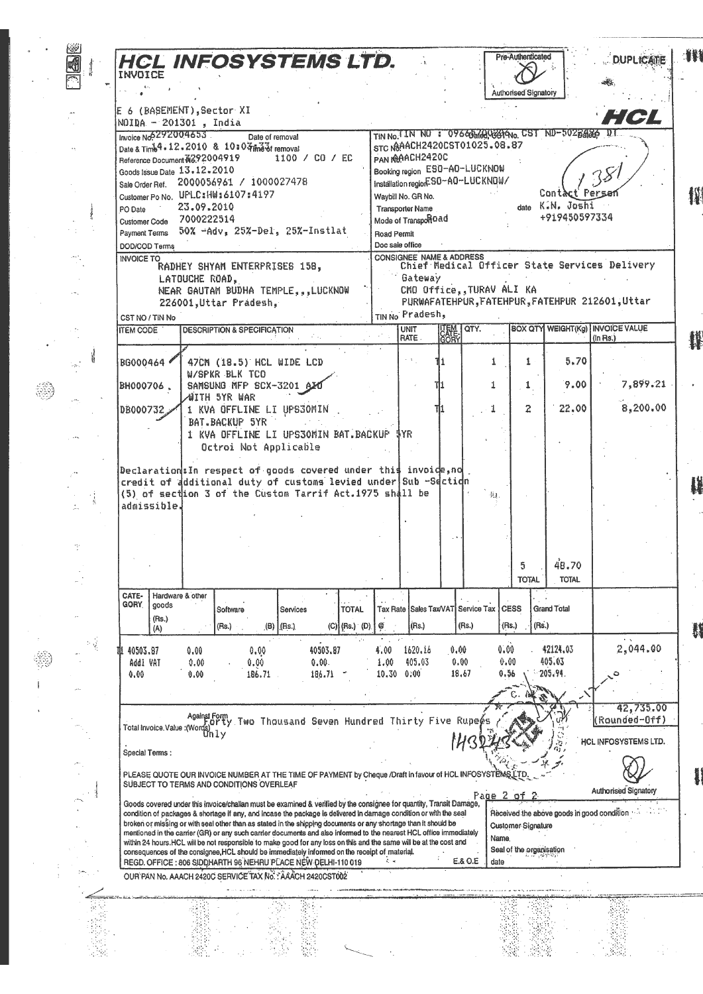| 国 |     |                                    |             |                               | <b>HCL INFOSYSTEMS LTD.</b>                                                                                                                                                                                                                |                      |                 |               |               |                                               |                                     |                                    | Pre-Authenticated           |                                                  | <b>DUPLICATE</b>                                           |
|---|-----|------------------------------------|-------------|-------------------------------|--------------------------------------------------------------------------------------------------------------------------------------------------------------------------------------------------------------------------------------------|----------------------|-----------------|---------------|---------------|-----------------------------------------------|-------------------------------------|------------------------------------|-----------------------------|--------------------------------------------------|------------------------------------------------------------|
|   |     |                                    |             |                               |                                                                                                                                                                                                                                            |                      |                 |               |               |                                               |                                     |                                    | <b>Authorised Signatory</b> |                                                  |                                                            |
|   |     |                                    |             |                               | E 6 (BASEMENT), Sector XI                                                                                                                                                                                                                  |                      |                 |               |               |                                               |                                     |                                    |                             |                                                  |                                                            |
|   |     |                                    |             | NOIDA - 201301, India         |                                                                                                                                                                                                                                            |                      |                 |               |               |                                               |                                     |                                    |                             |                                                  | H CI                                                       |
|   |     |                                    |             | Invoice No. 292004653         |                                                                                                                                                                                                                                            | Date of removal      |                 |               |               |                                               |                                     |                                    |                             | TIN No. IN NO : 09645 440 6814No. CST ND-5028486 |                                                            |
|   |     |                                    |             | Reference Document N892004919 | Date & Time 4 - 12 - 2010 & 10 = 0 4 ma of removal                                                                                                                                                                                         |                      | 1100 / CO / EC  |               |               | PAN IMPACH2420C                               |                                     | STC N8AACH2420CST01025.08.87       |                             |                                                  |                                                            |
|   |     |                                    |             | Goods Issue Date 13.12.2010   |                                                                                                                                                                                                                                            |                      |                 |               |               |                                               |                                     | Booking region ES0-A0-LUCKNOW      |                             |                                                  |                                                            |
|   |     |                                    |             |                               | Sale Order Ref. 2000056961 / 1000027478                                                                                                                                                                                                    |                      |                 |               |               |                                               |                                     | Installation region-SO-AO-LUCKNOW/ |                             | Contact Perse                                    |                                                            |
|   |     | PO Date                            |             | 23.09.2010                    | Customer Po No. UPLC: HW: 6107: 4197                                                                                                                                                                                                       |                      |                 |               |               | Waybill No. GR No.<br><b>Transporter Name</b> |                                     |                                    |                             | date K.N. Joshi                                  |                                                            |
|   |     |                                    |             | Customer Code 7000222514      |                                                                                                                                                                                                                                            |                      |                 |               |               | Mode of TransportOad                          |                                     |                                    |                             | +919450597334                                    |                                                            |
|   |     | <b>Payment Terms</b>               |             |                               | 50% -Adv, 25%-Del, 25%-Instlat                                                                                                                                                                                                             |                      |                 |               | Road Permit   |                                               |                                     |                                    |                             |                                                  |                                                            |
|   |     | DOD/COD Terms<br><b>INVOICE TO</b> |             |                               |                                                                                                                                                                                                                                            |                      |                 |               |               | Doc sale office                               | <b>CONSIGNEE NAME &amp; ADDRESS</b> |                                    |                             |                                                  |                                                            |
|   |     |                                    |             |                               | RADHEY SHYAM ENTERPRISES 158,                                                                                                                                                                                                              |                      |                 |               |               |                                               |                                     |                                    |                             |                                                  | Chief Medical Officer State Services Delivery              |
|   |     |                                    |             | LATOUCHE ROAD,                | NEAR GAUTAM BUDHA TEMPLE, , LUCKNOW                                                                                                                                                                                                        |                      |                 |               |               | Gateway                                       |                                     | CMO Office, TURAV ALI KA           |                             |                                                  |                                                            |
|   |     |                                    |             |                               | 226001, Uttar Pradesh,                                                                                                                                                                                                                     |                      |                 |               |               |                                               |                                     |                                    |                             |                                                  | PURWAFATEHPUR, FATEHPUR, FATEHPUR 212601, Uttar            |
|   |     | CST NO / TIN No                    |             |                               |                                                                                                                                                                                                                                            |                      |                 |               |               | TINNo Pradesh,                                |                                     |                                    |                             |                                                  |                                                            |
|   |     | <b>ITEM CODE</b>                   |             |                               | <b>DESCRIPTION &amp; SPECIFICATION</b>                                                                                                                                                                                                     |                      |                 |               |               | <b>UNIT</b><br>RATE.                          | <b>UEM TOTY.</b><br>CORY            |                                    |                             |                                                  | <b>BOX QTY WEIGHT(Kg)   INVOICE VALUE</b><br>$(ln$ Rs. $)$ |
|   |     |                                    |             |                               |                                                                                                                                                                                                                                            |                      |                 |               |               |                                               |                                     |                                    |                             |                                                  |                                                            |
|   |     | BG000464                           |             |                               | 47CM (18.5) HCL WIDE LCD<br>W/SPKR BLK TCD                                                                                                                                                                                                 |                      |                 |               |               |                                               |                                     | 1                                  | 1                           | 5.70                                             |                                                            |
|   |     | BH000706,                          |             |                               | SAMSUNG MFP SCX-3201 6                                                                                                                                                                                                                     |                      |                 |               |               |                                               | ï11                                 | 1                                  | $\mathbf{1}$                | 9.00                                             | 7,899.21                                                   |
|   |     | DB000732                           |             |                               | ⊿WITH 5YR WAR<br>1 KVA OFFLINE LI UPSJOMIN                                                                                                                                                                                                 |                      |                 |               |               |                                               |                                     |                                    | $\mathbf{z}$                | 22.00                                            | 8,200.00                                                   |
|   |     |                                    |             |                               | BAT.BACKUP 5YR                                                                                                                                                                                                                             |                      |                 |               |               |                                               |                                     |                                    |                             |                                                  |                                                            |
|   |     |                                    |             |                               | 1 KVA OFFLINE LI UPS30MIN BAT.BACKUP \$YR                                                                                                                                                                                                  |                      |                 |               |               |                                               |                                     |                                    |                             |                                                  |                                                            |
|   |     |                                    |             |                               | Octroi Not Applicable                                                                                                                                                                                                                      |                      |                 |               |               |                                               |                                     |                                    |                             |                                                  |                                                            |
|   |     |                                    |             |                               |                                                                                                                                                                                                                                            |                      |                 |               |               |                                               |                                     |                                    |                             |                                                  |                                                            |
|   |     |                                    |             |                               | Declaration: In respect of goods covered under this invoide, no                                                                                                                                                                            |                      |                 |               |               |                                               |                                     |                                    |                             |                                                  |                                                            |
|   |     |                                    |             |                               | credit of additional duty of customs levied under Sub -Section                                                                                                                                                                             |                      |                 |               |               |                                               |                                     |                                    |                             |                                                  |                                                            |
|   |     |                                    | admissible. |                               | (5) of section 3 of the Custom Tarrif Act.1975 shall be                                                                                                                                                                                    |                      |                 |               |               |                                               |                                     | 損.                                 |                             |                                                  |                                                            |
|   |     |                                    |             |                               |                                                                                                                                                                                                                                            |                      |                 |               |               |                                               |                                     |                                    |                             |                                                  |                                                            |
|   |     |                                    |             |                               |                                                                                                                                                                                                                                            |                      |                 |               |               |                                               |                                     |                                    |                             |                                                  |                                                            |
| Ť |     |                                    |             |                               |                                                                                                                                                                                                                                            |                      |                 |               |               |                                               |                                     |                                    |                             |                                                  |                                                            |
|   |     |                                    |             |                               |                                                                                                                                                                                                                                            |                      |                 |               |               |                                               |                                     |                                    | 5                           | 48.70                                            |                                                            |
|   |     |                                    |             |                               |                                                                                                                                                                                                                                            |                      |                 |               |               |                                               |                                     |                                    | <b>TOTAL</b>                | <b>TOTAL</b>                                     |                                                            |
|   |     | CATE-<br>GORY.                     | goods       | Hardware & other              | Software                                                                                                                                                                                                                                   |                      | Services        | <b>TOTAL</b>  |               |                                               | Tax Rate Sales Tax/VAT Service Tax  |                                    | <b>CESS</b>                 | <b>Grand Total</b>                               |                                                            |
|   |     |                                    | (Rs.)       |                               | (Rs.)                                                                                                                                                                                                                                      | $(\mathsf{B})$ (Rs.) |                 | (C) (Rs.) (D) | Ø             | (Rs.)                                         |                                     | (Rs.)                              | (Rs.)<br>(Rs.)              |                                                  |                                                            |
|   |     |                                    | (A)         |                               |                                                                                                                                                                                                                                            |                      |                 |               |               |                                               |                                     |                                    |                             |                                                  |                                                            |
|   | s ( | 40503.87                           |             | 0.00                          |                                                                                                                                                                                                                                            | 0.00                 | 40503.87        |               | 4.00          | 1620.16                                       | 0.00                                |                                    | 0.00                        | 42124.03                                         | 2,044.00                                                   |
|   |     | AddI VAT<br>0.00                   |             | 0.00<br>0.00                  | 0.00                                                                                                                                                                                                                                       | 186.71               | 0.00.<br>186.71 |               | 1.00<br>10.30 | 405.03<br>0.00                                | 0.00<br>18,67                       |                                    | 0.00<br>0.56                | 405.03<br>205.94.                                |                                                            |
|   |     |                                    |             |                               |                                                                                                                                                                                                                                            |                      |                 |               |               |                                               |                                     |                                    |                             |                                                  |                                                            |
|   |     |                                    |             |                               |                                                                                                                                                                                                                                            |                      |                 |               |               |                                               |                                     |                                    |                             |                                                  | 42,735.00                                                  |
|   |     |                                    |             |                               | AgainstForm<br>F.Orty Two Thousand Seven Hundred Thirty Five Rupers                                                                                                                                                                        |                      |                 |               |               |                                               |                                     |                                    |                             |                                                  | Rounded-Off)                                               |
|   |     |                                    |             | Total Invoice Value : (Words) |                                                                                                                                                                                                                                            |                      |                 |               |               |                                               |                                     |                                    |                             |                                                  | HCL INFOSYSTEMS LTD.                                       |
|   |     | Special Terms:                     |             |                               |                                                                                                                                                                                                                                            |                      |                 |               |               |                                               |                                     |                                    |                             |                                                  |                                                            |
|   |     |                                    |             |                               | PLEASE QUOTE OUR INVOICE NUMBER AT THE TIME OF PAYMENT by Cheque /Draft in favour of HCL INFOSYSTEMS LTD                                                                                                                                   |                      |                 |               |               |                                               |                                     |                                    |                             |                                                  |                                                            |
|   |     |                                    |             |                               | SUBJECT TO TERMS AND CONDITIONS OVERLEAF                                                                                                                                                                                                   |                      |                 |               |               |                                               |                                     | Page 2 of 2                        |                             |                                                  | Authorised Signatory                                       |
|   |     |                                    |             |                               | Goods covered under this invoice/challan must be examined & verified by the consignee for quantity, Transit Damage,<br>condition of packages & shortage if any, and incase the package is delivered in damage condition or with the seal   |                      |                 |               |               |                                               |                                     |                                    |                             |                                                  | Received the above goods in good condition                 |
|   |     |                                    |             |                               | broken or missing or with seal other than as stated in the shipping documents or any shortage than it should be                                                                                                                            |                      |                 |               |               |                                               |                                     |                                    | Customer Signature          |                                                  |                                                            |
|   |     |                                    |             |                               | mentioned in the carrier (GR) or any such carrier documents and also informed to the nearest HCL office immediately<br>within 24 hours. HCL will be not responsible to make good for any loss on this and the same will be at the cost and |                      |                 |               |               |                                               |                                     | Name,                              |                             |                                                  |                                                            |
|   |     |                                    |             |                               | consequences of the consignee HCL should be immediately informed on the receipt of material.<br>REGD. OFFICE: 806 SIDDHARTH 96 NEHRU PLACE NEW DELHI-110 019                                                                               |                      |                 |               |               |                                               |                                     | E.& O.E<br>date                    | Seal of the organisation    |                                                  |                                                            |
|   |     |                                    |             |                               | OUR PAN No. AAACH 2420C SERVICE TAX No. : AAACH 2420CST002                                                                                                                                                                                 |                      |                 |               |               |                                               |                                     |                                    |                             |                                                  |                                                            |
|   |     |                                    |             |                               |                                                                                                                                                                                                                                            |                      |                 |               |               |                                               |                                     |                                    |                             |                                                  |                                                            |
|   |     |                                    |             |                               |                                                                                                                                                                                                                                            |                      |                 |               |               |                                               |                                     |                                    |                             |                                                  |                                                            |
|   |     |                                    |             |                               |                                                                                                                                                                                                                                            |                      |                 |               |               |                                               |                                     |                                    |                             |                                                  |                                                            |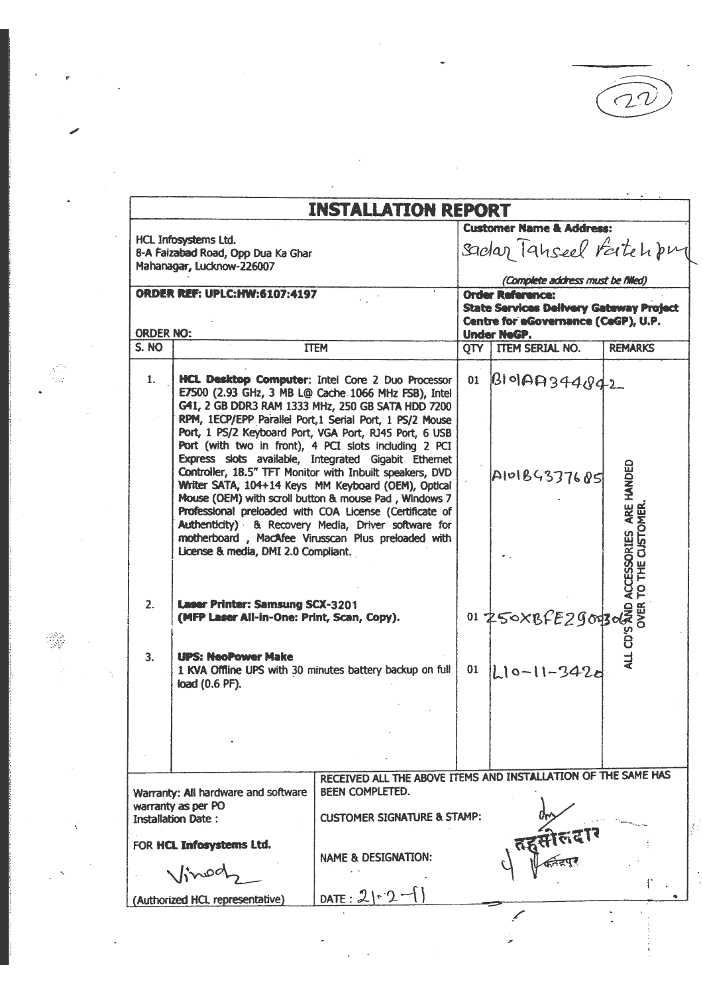$22$ 

|                  | <b>INSTALLATION REPORT</b>                                                              |                                                                                                                                                                                                                                                                                                                                                                                                                                                                                                                             |                                     |                                                                                                                                        |                                          |  |  |  |  |
|------------------|-----------------------------------------------------------------------------------------|-----------------------------------------------------------------------------------------------------------------------------------------------------------------------------------------------------------------------------------------------------------------------------------------------------------------------------------------------------------------------------------------------------------------------------------------------------------------------------------------------------------------------------|-------------------------------------|----------------------------------------------------------------------------------------------------------------------------------------|------------------------------------------|--|--|--|--|
|                  |                                                                                         |                                                                                                                                                                                                                                                                                                                                                                                                                                                                                                                             | <b>Customer Name &amp; Address:</b> |                                                                                                                                        |                                          |  |  |  |  |
|                  | HCL Infosystems Ltd.<br>8-A Faizabad Road, Opp Dua Ka Ghar<br>Mahanagar, Lucknow-226007 |                                                                                                                                                                                                                                                                                                                                                                                                                                                                                                                             | sadar Tanseel Fatchbur              |                                                                                                                                        |                                          |  |  |  |  |
|                  |                                                                                         |                                                                                                                                                                                                                                                                                                                                                                                                                                                                                                                             |                                     | (Complete address must be filled)                                                                                                      |                                          |  |  |  |  |
| <b>ORDER NO:</b> | <b>ORDER REF: UPLC:HW:6107:4197</b>                                                     |                                                                                                                                                                                                                                                                                                                                                                                                                                                                                                                             |                                     | <b>Order Reference:</b><br><b>State Services Delivery Gateway Project</b><br>Centre for eGovernance (CeGP), U.P.<br><b>Under NeGP.</b> |                                          |  |  |  |  |
| S. NO            |                                                                                         | <b>TTEM</b>                                                                                                                                                                                                                                                                                                                                                                                                                                                                                                                 | QTY                                 | ITEM SERIAL NO.                                                                                                                        | <b>REMARKS</b>                           |  |  |  |  |
| 1.               |                                                                                         | HCL Desktop Computer: Intel Core 2 Duo Processor<br>E7500 (2.93 GHz, 3 MB L@ Cache 1066 MHz FSB), Intel<br>G41, 2 GB DDR3 RAM 1333 MHz, 250 GB SATA HDD 7200<br>RPM, 1ECP/EPP Parallel Port, 1 Serial Port, 1 PS/2 Mouse                                                                                                                                                                                                                                                                                                    | 01                                  | BIOAA344842                                                                                                                            |                                          |  |  |  |  |
|                  | License & media, DMI 2.0 Compliant.                                                     | Port, 1 PS/2 Keyboard Port, VGA Port, RJ45 Port, 6 USB<br>Port (with two in front), 4 PCI slots including 2 PCI<br>Express slots available, Integrated Gigabit Ethernet<br>Controller, 18.5" TFT Monitor with Inbuilt speakers, DVD<br>Writer SATA, 104+14 Keys MM Keyboard (OEM), Optical<br>Mouse (OEM) with scroll button & mouse Pad, Windows 7<br>Professional preloaded with COA License (Certificate of<br>Authenticity) & Recovery Media, Driver software for<br>motherboard, MacAfee Virusscan Plus preloaded with |                                     | AIO184377685                                                                                                                           | ARE HANDED<br><b>DMER</b><br>ACCESSORIES |  |  |  |  |
| 2.               | <b>Laser Printer: Samsung SCX-3201</b><br>(MFP Laser All-in-One: Print, Scan, Copy).    |                                                                                                                                                                                                                                                                                                                                                                                                                                                                                                                             |                                     | 01 250XBFE29003023                                                                                                                     |                                          |  |  |  |  |
| 3.               | <b>UPS: NeoPower Make</b><br>load (0.6 PF).                                             | 1 KVA Offline UPS with 30 minutes battery backup on full                                                                                                                                                                                                                                                                                                                                                                                                                                                                    | 01                                  | $10 - 11 - 3426$                                                                                                                       | ALL CD'S                                 |  |  |  |  |
|                  |                                                                                         |                                                                                                                                                                                                                                                                                                                                                                                                                                                                                                                             |                                     |                                                                                                                                        |                                          |  |  |  |  |
|                  | Warranty: All hardware and software<br>warranty as per PO<br><b>Installation Date:</b>  | RECEIVED ALL THE ABOVE ITEMS AND INSTALLATION OF THE SAME HAS<br>BEEN COMPLETED.<br><b>CUSTOMER SIGNATURE &amp; STAMP:</b>                                                                                                                                                                                                                                                                                                                                                                                                  |                                     |                                                                                                                                        |                                          |  |  |  |  |
|                  | FOR HCL Infosystems Ltd.                                                                | <b>NAME &amp; DESIGNATION:</b>                                                                                                                                                                                                                                                                                                                                                                                                                                                                                              |                                     |                                                                                                                                        |                                          |  |  |  |  |
|                  |                                                                                         | DATE: $21 - 2 -$                                                                                                                                                                                                                                                                                                                                                                                                                                                                                                            |                                     |                                                                                                                                        |                                          |  |  |  |  |
|                  | (Authorized HCL representative)                                                         |                                                                                                                                                                                                                                                                                                                                                                                                                                                                                                                             |                                     |                                                                                                                                        |                                          |  |  |  |  |

 $\frac{1}{\sqrt{2}}$ 

 $\frac{1}{2}$ 

 $\mathcal{L}^{\text{max}}_{\text{max}}$  and  $\mathcal{L}^{\text{max}}_{\text{max}}$ 

 $\label{eq:2.1} \mathcal{L}(\mathcal{L}^{\text{max}}_{\mathcal{L}}(\mathcal{L}^{\text{max}}_{\mathcal{L}})) \leq \mathcal{L}(\mathcal{L}^{\text{max}}_{\mathcal{L}}(\mathcal{L}^{\text{max}}_{\mathcal{L}}))$ 

 $\label{eq:3.1} \frac{1}{\sqrt{2}}\left(\frac{1}{\sqrt{2}}\right)^{2}=\frac{1}{2}\left(\frac{1}{2}\right)^{2}$ 

**美** 

 $\frac{1}{2}\left(\frac{1}{N}\right)^{1/2}\frac{1}{N}$ 

 $\ddot{\phantom{0}}$ 

 $\sim$ 

 $\frac{1}{2}$  ,  $\frac{1}{2}$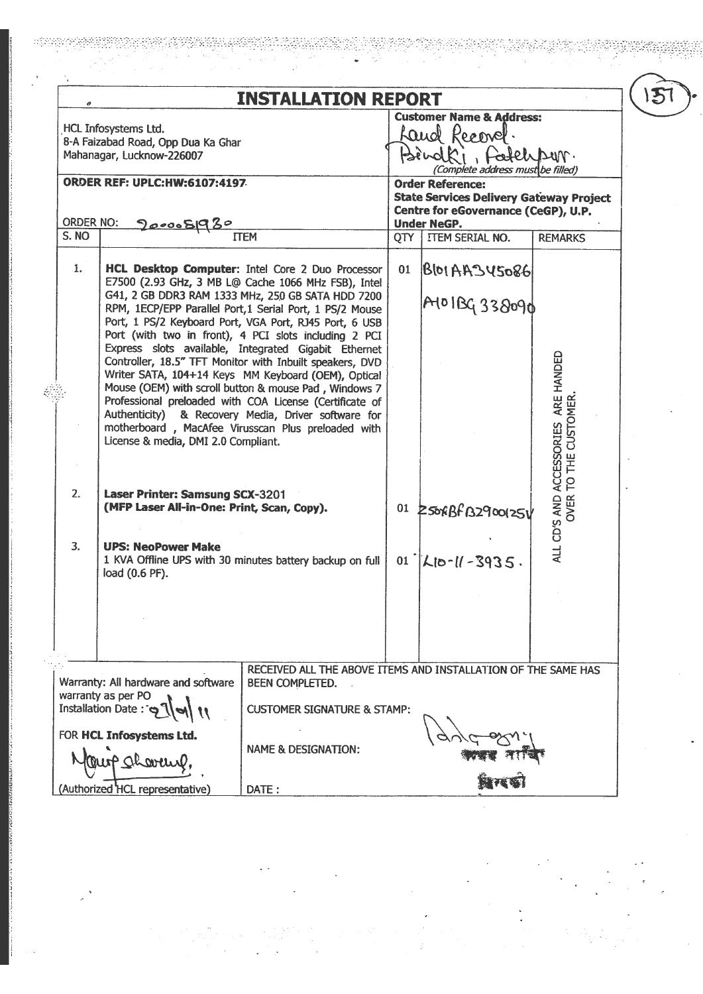|                                                   |                                                                                                                                                                                                                                                                                                                                                                                                                                                 | <b>INSTALLATION REPORT</b>                                                                                                                                                                                                                                                                                                                  |                                                                                                                                                       |                                                                          |                                                  |  |
|---------------------------------------------------|-------------------------------------------------------------------------------------------------------------------------------------------------------------------------------------------------------------------------------------------------------------------------------------------------------------------------------------------------------------------------------------------------------------------------------------------------|---------------------------------------------------------------------------------------------------------------------------------------------------------------------------------------------------------------------------------------------------------------------------------------------------------------------------------------------|-------------------------------------------------------------------------------------------------------------------------------------------------------|--------------------------------------------------------------------------|--------------------------------------------------|--|
|                                                   | <b>HCL Infosystems Ltd.</b><br>8-A Faizabad Road, Opp Dua Ka Ghar<br>Mahanagar, Lucknow-226007                                                                                                                                                                                                                                                                                                                                                  |                                                                                                                                                                                                                                                                                                                                             |                                                                                                                                                       | <b>Customer Name &amp; Address:</b><br>Land Record.<br>Bindki, Fatchpur. |                                                  |  |
|                                                   | <b>ORDER REF: UPLC:HW:6107:4197</b>                                                                                                                                                                                                                                                                                                                                                                                                             |                                                                                                                                                                                                                                                                                                                                             | (Complete address must be filled)<br><b>Order Reference:</b><br><b>State Services Delivery Gateway Project</b><br>Centre for eGovernance (CeGP), U.P. |                                                                          |                                                  |  |
| order No:                                         | <u>900008930</u>                                                                                                                                                                                                                                                                                                                                                                                                                                |                                                                                                                                                                                                                                                                                                                                             |                                                                                                                                                       | <b>Under NeGP.</b>                                                       |                                                  |  |
| S. NO                                             |                                                                                                                                                                                                                                                                                                                                                                                                                                                 | <b>TTEM</b>                                                                                                                                                                                                                                                                                                                                 | QTY                                                                                                                                                   | ITEM SERIAL NO.                                                          | <b>REMARKS</b>                                   |  |
| $\mathbf{1}$ .                                    |                                                                                                                                                                                                                                                                                                                                                                                                                                                 | HCL Desktop Computer: Intel Core 2 Duo Processor<br>E7500 (2.93 GHz, 3 MB L@ Cache 1066 MHz FSB), Intel<br>G41, 2 GB DDR3 RAM 1333 MHz, 250 GB SATA HDD 7200<br>RPM, 1ECP/EPP Parallel Port, 1 Serial Port, 1 PS/2 Mouse<br>Port, 1 PS/2 Keyboard Port, VGA Port, RJ45 Port, 6 USB<br>Port (with two in front), 4 PCI slots including 2 PCI | 01                                                                                                                                                    | $ B $ bl AA345086<br>A101BG 338090                                       |                                                  |  |
|                                                   | Express slots available, Integrated Gigabit Ethernet<br>Controller, 18.5" TFT Monitor with Inbuilt speakers, DVD<br>Writer SATA, 104+14 Keys MM Keyboard (OEM), Optical<br>Mouse (OEM) with scroll button & mouse Pad, Windows 7<br>Professional preloaded with COA License (Certificate of<br>Authenticity) & Recovery Media, Driver software for<br>motherboard, MacAfee Virusscan Plus preloaded with<br>License & media, DMI 2.0 Compliant. |                                                                                                                                                                                                                                                                                                                                             |                                                                                                                                                       |                                                                          | ARE HANDED                                       |  |
| 2.                                                | <b>Laser Printer: Samsung SCX-3201</b><br>(MFP Laser All-in-One: Print, Scan, Copy).                                                                                                                                                                                                                                                                                                                                                            |                                                                                                                                                                                                                                                                                                                                             |                                                                                                                                                       | 01 2 50xBf B2900125V                                                     | OVER TO THE CUSTOMER<br>ALL CD'S AND ACCESSORIES |  |
| 3.<br><b>UPS: NeoPower Make</b><br>load (0.6 PF). |                                                                                                                                                                                                                                                                                                                                                                                                                                                 | 1 KVA Offline UPS with 30 minutes battery backup on full                                                                                                                                                                                                                                                                                    |                                                                                                                                                       | 01 $ L  = 3935$ .                                                        |                                                  |  |
|                                                   |                                                                                                                                                                                                                                                                                                                                                                                                                                                 |                                                                                                                                                                                                                                                                                                                                             |                                                                                                                                                       |                                                                          |                                                  |  |
|                                                   |                                                                                                                                                                                                                                                                                                                                                                                                                                                 | RECEIVED ALL THE ABOVE ITEMS AND INSTALLATION OF THE SAME HAS                                                                                                                                                                                                                                                                               |                                                                                                                                                       |                                                                          |                                                  |  |
|                                                   | Warranty: All hardware and software<br>warranty as per PO<br>Installation Date:                                                                                                                                                                                                                                                                                                                                                                 | <b>BEEN COMPLETED.</b><br><b>CUSTOMER SIGNATURE &amp; STAMP:</b>                                                                                                                                                                                                                                                                            |                                                                                                                                                       |                                                                          |                                                  |  |
|                                                   | FOR HCL Infosystems Ltd.                                                                                                                                                                                                                                                                                                                                                                                                                        |                                                                                                                                                                                                                                                                                                                                             |                                                                                                                                                       |                                                                          |                                                  |  |
|                                                   |                                                                                                                                                                                                                                                                                                                                                                                                                                                 | <b>NAME &amp; DESIGNATION:</b>                                                                                                                                                                                                                                                                                                              |                                                                                                                                                       |                                                                          |                                                  |  |
|                                                   | (Authorized HCL representative)                                                                                                                                                                                                                                                                                                                                                                                                                 | DATE:                                                                                                                                                                                                                                                                                                                                       |                                                                                                                                                       |                                                                          |                                                  |  |

ರಿದ್ದಾ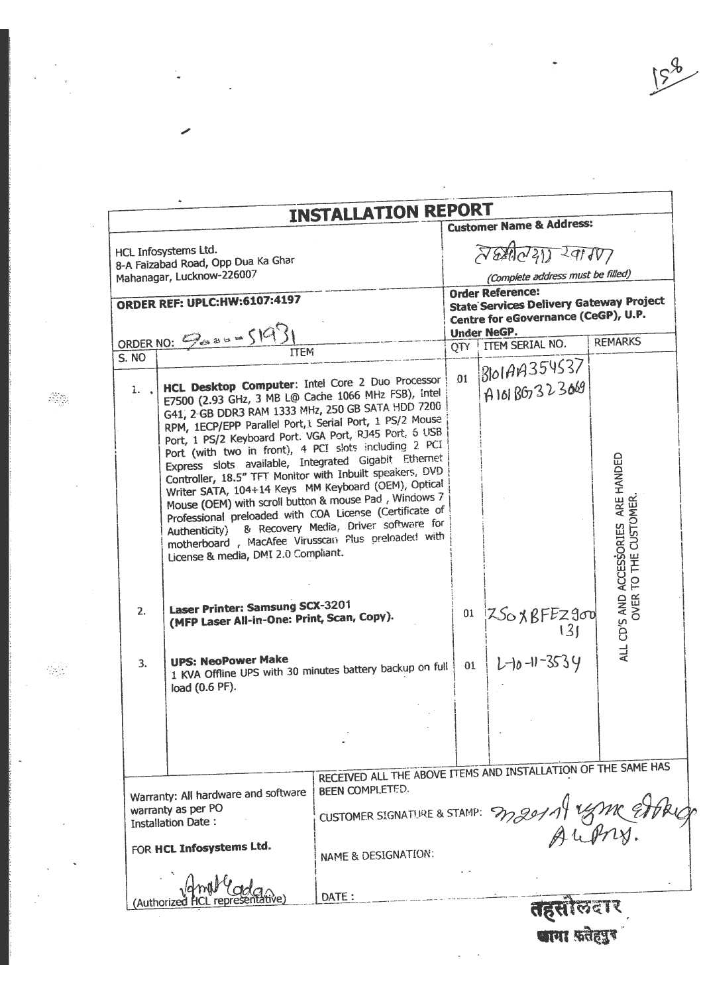|              |                                                                                                                                                                                                                                                                                                                                                                                                                                                                                                                                                                                                                                                                                                                                                                                                | <b>INSTALLATION REPORT</b>                                                              |                                                                           | <b>Customer Name &amp; Address:</b>               |                                                           |
|--------------|------------------------------------------------------------------------------------------------------------------------------------------------------------------------------------------------------------------------------------------------------------------------------------------------------------------------------------------------------------------------------------------------------------------------------------------------------------------------------------------------------------------------------------------------------------------------------------------------------------------------------------------------------------------------------------------------------------------------------------------------------------------------------------------------|-----------------------------------------------------------------------------------------|---------------------------------------------------------------------------|---------------------------------------------------|-----------------------------------------------------------|
|              | HCL Infosystems Ltd.<br>8-A Faizabad Road, Opp Dua Ka Ghar<br>Mahanagar, Lucknow-226007                                                                                                                                                                                                                                                                                                                                                                                                                                                                                                                                                                                                                                                                                                        |                                                                                         |                                                                           | 720021220107<br>(Complete address must be filled) |                                                           |
|              | <b>ORDER REF: UPLC:HW:6107:4197</b>                                                                                                                                                                                                                                                                                                                                                                                                                                                                                                                                                                                                                                                                                                                                                            |                                                                                         | <b>Order Reference:</b><br><b>State Services Delivery Gateway Project</b> |                                                   |                                                           |
|              |                                                                                                                                                                                                                                                                                                                                                                                                                                                                                                                                                                                                                                                                                                                                                                                                |                                                                                         |                                                                           | Centre for eGovernance (CeGP), U.P.               |                                                           |
|              | ORDER NO: $943 \times 193$                                                                                                                                                                                                                                                                                                                                                                                                                                                                                                                                                                                                                                                                                                                                                                     |                                                                                         |                                                                           | <b>Under NeGP.</b><br>QTY   ITEM SERIAL NO.       | <b>REMARKS</b>                                            |
| <b>S. NO</b> | <b>ITEM</b>                                                                                                                                                                                                                                                                                                                                                                                                                                                                                                                                                                                                                                                                                                                                                                                    |                                                                                         |                                                                           |                                                   |                                                           |
| $1.$ $\Box$  | HCL Desktop Computer: Intel Core 2 Duo Processor<br>E7500 (2.93 GHz, 3 MB L@ Cache 1066 MHz FSB), Intel<br>G41, 2-GB DDR3 RAM 1333 MHz, 250 GB SATA HDD 7200<br>RPM, 1ECP/EPP Parallel Port, 1 Serial Port, 1 PS/2 Mouse<br>Port, 1 PS/2 Keyboard Port. VGA Port, RJ45 Port, 6 USB<br>Port (with two in front), 4 PCI slots including 2 PCI<br>Express slots available, Integrated Gigabit Ethernet<br>Controller, 18.5" TFT Monitor with Inbuilt speakers, DVD<br>Writer SATA, 104+14 Keys MM Keyboard (OEM), Optical<br>Mouse (OEM) with scroll button & mouse Pad, Windows 7<br>Professional preloaded with COA License (Certificate of<br>Authenticity) & Recovery Media, Driver software for<br>motherboard, MacAfee Virusscan Plus preloaded with<br>License & media, DMI 2.0 Compliant. |                                                                                         | 01                                                                        | 30144354537<br>A 101 BG7323069                    | ARE HANDED<br>TO THE CUSTOMER<br>ALL CD'S AND ACCESSORIES |
| 2.           | <b>Laser Printer: Samsung SCX-3201</b><br>(MFP Laser All-in-One: Print, Scan, Copy).                                                                                                                                                                                                                                                                                                                                                                                                                                                                                                                                                                                                                                                                                                           |                                                                                         |                                                                           | 01 $Z50 \times BFE2900$                           | OVER <sup>-</sup>                                         |
| 3.           | <b>UPS: NeoPower Make</b><br>load (0.6 PF).                                                                                                                                                                                                                                                                                                                                                                                                                                                                                                                                                                                                                                                                                                                                                    | 1 KVA Offline UPS with 30 minutes battery backup on full                                |                                                                           |                                                   | $L$ -10-11-3534                                           |
|              |                                                                                                                                                                                                                                                                                                                                                                                                                                                                                                                                                                                                                                                                                                                                                                                                |                                                                                         |                                                                           |                                                   |                                                           |
|              |                                                                                                                                                                                                                                                                                                                                                                                                                                                                                                                                                                                                                                                                                                                                                                                                |                                                                                         |                                                                           |                                                   |                                                           |
|              |                                                                                                                                                                                                                                                                                                                                                                                                                                                                                                                                                                                                                                                                                                                                                                                                |                                                                                         |                                                                           |                                                   |                                                           |
|              | Warranty: All hardware and software                                                                                                                                                                                                                                                                                                                                                                                                                                                                                                                                                                                                                                                                                                                                                            | RECEIVED ALL THE ABOVE ITEMS AND INSTALLATION OF THE SAME HAS<br><b>BEEN COMPLETED.</b> |                                                                           |                                                   |                                                           |
|              | warranty as per PO<br><b>Installation Date:</b>                                                                                                                                                                                                                                                                                                                                                                                                                                                                                                                                                                                                                                                                                                                                                | CUSTOMER SIGNATURE & STAMP: 3020119 28MC EAD.                                           |                                                                           |                                                   |                                                           |
|              | FOR HCL Infosystems Ltd.                                                                                                                                                                                                                                                                                                                                                                                                                                                                                                                                                                                                                                                                                                                                                                       | NAME & DESIGNATION:                                                                     |                                                                           |                                                   |                                                           |
| (Authorize)  |                                                                                                                                                                                                                                                                                                                                                                                                                                                                                                                                                                                                                                                                                                                                                                                                | DATE:                                                                                   |                                                                           | तहसा                                              |                                                           |

 $\frac{\partial \mathcal{L}_{\mathcal{G}}}{\partial \mathcal{L}_{\mathcal{G}}}$ 

 $\frac{1}{\sum_{i=1}^{n-1} \alpha_i}$ 

l,

l.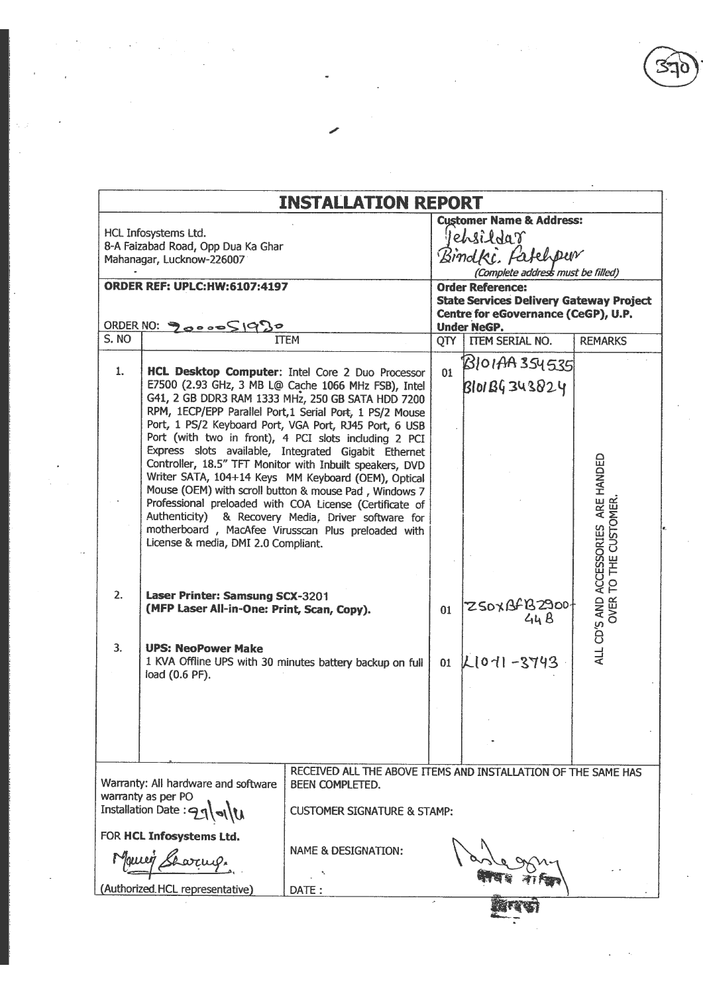$\frac{1}{2} \frac{1}{2} \frac{1}{2} \frac{1}{2} \frac{1}{2} \frac{1}{2} \frac{1}{2} \frac{1}{2} \frac{1}{2} \frac{1}{2} \frac{1}{2} \frac{1}{2} \frac{1}{2} \frac{1}{2} \frac{1}{2} \frac{1}{2} \frac{1}{2} \frac{1}{2} \frac{1}{2} \frac{1}{2} \frac{1}{2} \frac{1}{2} \frac{1}{2} \frac{1}{2} \frac{1}{2} \frac{1}{2} \frac{1}{2} \frac{1}{2} \frac{1}{2} \frac{1}{2} \frac{1}{2} \frac{$ 

 $\bar{\mathcal{A}}$ 

 $\frac{1}{2} \sum_{i=1}^n \frac{1}{2} \sum_{j=1}^n \frac{1}{2} \sum_{j=1}^n \frac{1}{2} \sum_{j=1}^n \frac{1}{2} \sum_{j=1}^n \frac{1}{2} \sum_{j=1}^n \frac{1}{2} \sum_{j=1}^n \frac{1}{2} \sum_{j=1}^n \frac{1}{2} \sum_{j=1}^n \frac{1}{2} \sum_{j=1}^n \frac{1}{2} \sum_{j=1}^n \frac{1}{2} \sum_{j=1}^n \frac{1}{2} \sum_{j=1}^n \frac{1}{2} \sum_{j=$ 

 $\frac{1}{\sqrt{2}}\sum_{i=1}^n\frac{1}{\sqrt{2}}\sum_{i=1}^n\frac{1}{\sqrt{2}}\sum_{i=1}^n\frac{1}{\sqrt{2}}\sum_{i=1}^n\frac{1}{\sqrt{2}}\sum_{i=1}^n\frac{1}{\sqrt{2}}\sum_{i=1}^n\frac{1}{\sqrt{2}}\sum_{i=1}^n\frac{1}{\sqrt{2}}\sum_{i=1}^n\frac{1}{\sqrt{2}}\sum_{i=1}^n\frac{1}{\sqrt{2}}\sum_{i=1}^n\frac{1}{\sqrt{2}}\sum_{i=1}^n\frac{1}{\sqrt{2}}\$ 

 $\begin{picture}(20,20) \put(0,0){\line(1,0){10}} \put(15,0){\line(1,0){10}} \put(15,0){\line(1,0){10}} \put(15,0){\line(1,0){10}} \put(15,0){\line(1,0){10}} \put(15,0){\line(1,0){10}} \put(15,0){\line(1,0){10}} \put(15,0){\line(1,0){10}} \put(15,0){\line(1,0){10}} \put(15,0){\line(1,0){10}} \put(15,0){\line(1,0){10}} \put(15,0){\line(1$ 

|       |                                                                                         | <b>INSTALLATION REPORT</b>                                                                                                                                                                                                                                                                                                                                                                                                                                                                                                                                                                                                                                                                                                                              |                                                                                                           |                                                                                                             |                                                        |  |  |
|-------|-----------------------------------------------------------------------------------------|---------------------------------------------------------------------------------------------------------------------------------------------------------------------------------------------------------------------------------------------------------------------------------------------------------------------------------------------------------------------------------------------------------------------------------------------------------------------------------------------------------------------------------------------------------------------------------------------------------------------------------------------------------------------------------------------------------------------------------------------------------|-----------------------------------------------------------------------------------------------------------|-------------------------------------------------------------------------------------------------------------|--------------------------------------------------------|--|--|
|       | HCL Infosystems Ltd.<br>8-A Faizabad Road, Opp Dua Ka Ghar<br>Mahanagar, Lucknow-226007 |                                                                                                                                                                                                                                                                                                                                                                                                                                                                                                                                                                                                                                                                                                                                                         | <b>Customer Name &amp; Address:</b><br>lehsildar<br>Bindki, fatelpur<br>(Complete address must be filled) |                                                                                                             |                                                        |  |  |
|       | <b>ORDER REF: UPLC:HW:6107:4197</b>                                                     |                                                                                                                                                                                                                                                                                                                                                                                                                                                                                                                                                                                                                                                                                                                                                         |                                                                                                           | <b>Order Reference:</b>                                                                                     |                                                        |  |  |
|       | ORDER NO: 9000051930                                                                    |                                                                                                                                                                                                                                                                                                                                                                                                                                                                                                                                                                                                                                                                                                                                                         |                                                                                                           | <b>State Services Delivery Gateway Project</b><br>Centre for eGovernance (CeGP), U.P.<br><b>Under NeGP.</b> |                                                        |  |  |
| S. NO |                                                                                         | <b>ITEM</b>                                                                                                                                                                                                                                                                                                                                                                                                                                                                                                                                                                                                                                                                                                                                             |                                                                                                           | QTY   ITEM SERIAL NO.                                                                                       | <b>REMARKS</b>                                         |  |  |
| 1.    | License & media, DMI 2.0 Compliant.                                                     | HCL Desktop Computer: Intel Core 2 Duo Processor<br>E7500 (2.93 GHz, 3 MB L@ Cache 1066 MHz FSB), Intel<br>G41, 2 GB DDR3 RAM 1333 MHz, 250 GB SATA HDD 7200<br>RPM, 1ECP/EPP Parallel Port, 1 Serial Port, 1 PS/2 Mouse<br>Port, 1 PS/2 Keyboard Port, VGA Port, RJ45 Port, 6 USB<br>Port (with two in front), 4 PCI slots including 2 PCI<br>Express slots available, Integrated Gigabit Ethernet<br>Controller, 18.5" TFT Monitor with Inbuilt speakers, DVD<br>Writer SATA, 104+14 Keys MM Keyboard (OEM), Optical<br>Mouse (OEM) with scroll button & mouse Pad, Windows 7<br>Professional preloaded with COA License (Certificate of<br>Authenticity) & Recovery Media, Driver software for<br>motherboard, MacAfee Virusscan Plus preloaded with | 01                                                                                                        | BIOIAA 354535<br><b>BIO1BG343824</b>                                                                        | ALL CD'S AND ACCESSORIES ARE HANDED<br>TO THE CUSTOMER |  |  |
| 2.    | <b>Laser Printer: Samsung SCX-3201</b><br>(MFP Laser All-in-One: Print, Scan, Copy).    |                                                                                                                                                                                                                                                                                                                                                                                                                                                                                                                                                                                                                                                                                                                                                         | 01                                                                                                        | ZSOXBFB2900t<br>44B                                                                                         | OVER <sup>-</sup>                                      |  |  |
| 3.    | <b>UPS: NeoPower Make</b><br>load (0.6 PF).                                             | 1 KVA Offline UPS with 30 minutes battery backup on full                                                                                                                                                                                                                                                                                                                                                                                                                                                                                                                                                                                                                                                                                                |                                                                                                           | 01 $ L[01]$ -3743                                                                                           |                                                        |  |  |
|       |                                                                                         |                                                                                                                                                                                                                                                                                                                                                                                                                                                                                                                                                                                                                                                                                                                                                         |                                                                                                           |                                                                                                             |                                                        |  |  |
|       | Warranty: All hardware and software                                                     | RECEIVED ALL THE ABOVE ITEMS AND INSTALLATION OF THE SAME HAS<br>BEEN COMPLETED.                                                                                                                                                                                                                                                                                                                                                                                                                                                                                                                                                                                                                                                                        |                                                                                                           |                                                                                                             |                                                        |  |  |
|       | warranty as per PO<br>Installation Date: $\ominus$                                      | <b>CUSTOMER SIGNATURE &amp; STAMP:</b>                                                                                                                                                                                                                                                                                                                                                                                                                                                                                                                                                                                                                                                                                                                  |                                                                                                           |                                                                                                             |                                                        |  |  |
|       | FOR HCL Infosystems Ltd.                                                                | <b>NAME &amp; DESIGNATION:</b>                                                                                                                                                                                                                                                                                                                                                                                                                                                                                                                                                                                                                                                                                                                          |                                                                                                           |                                                                                                             |                                                        |  |  |

 $\label{eq:2.1} \mathcal{L}(\mathcal{G}) = \frac{1}{2} \sum_{i=1}^n \mathcal{L}(\mathcal{G}) \mathcal{L}(\mathcal{G}) \mathcal{L}(\mathcal{G}) \mathcal{L}(\mathcal{G}) \mathcal{L}(\mathcal{G}) \mathcal{L}(\mathcal{G}) \mathcal{L}(\mathcal{G}) \mathcal{L}(\mathcal{G}) \mathcal{L}(\mathcal{G}) \mathcal{L}(\mathcal{G}) \mathcal{L}(\mathcal{G}) \mathcal{L}(\mathcal{G}) \mathcal{L}(\mathcal{G}) \mathcal{L}(\mathcal{G}) \mathcal{L}(\mathcal{G}) \math$ 

 $\begin{array}{c} \bullet \\ \downarrow \\ \downarrow \\ \downarrow \\ \downarrow \end{array}$ 

 $\sim$   $\alpha$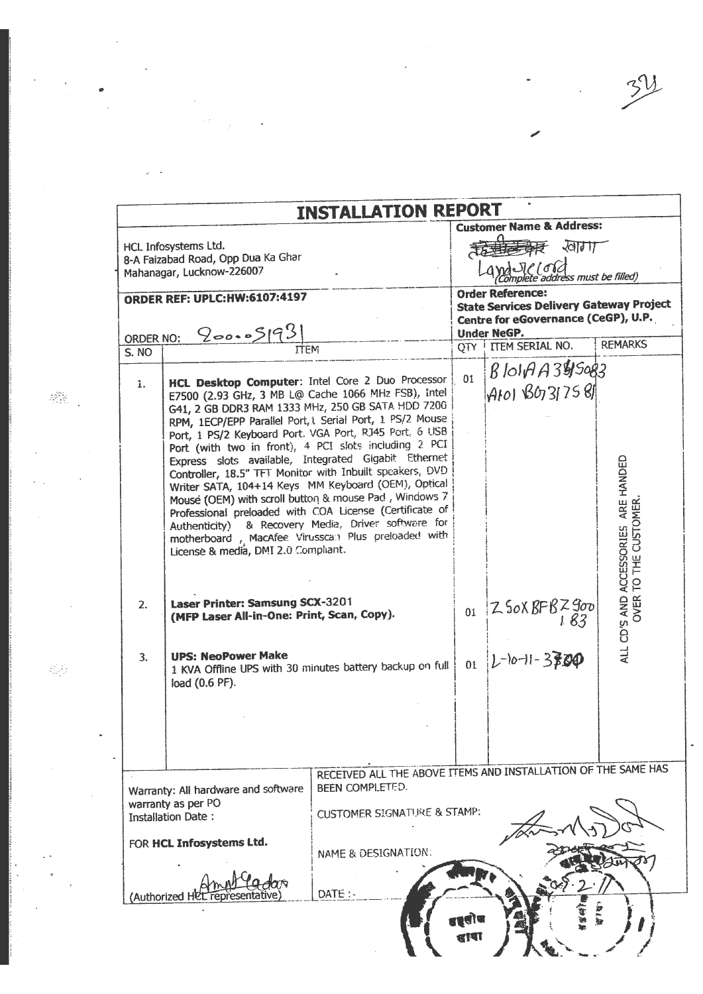|       |                                                                                                                                                                                                                                                                                                                             | <b>INSTALLATION REPORT</b>                                                                                                                                                                                                                                                                                                                                                                                                                                       |    |                                                                                                                                        |                                                             |
|-------|-----------------------------------------------------------------------------------------------------------------------------------------------------------------------------------------------------------------------------------------------------------------------------------------------------------------------------|------------------------------------------------------------------------------------------------------------------------------------------------------------------------------------------------------------------------------------------------------------------------------------------------------------------------------------------------------------------------------------------------------------------------------------------------------------------|----|----------------------------------------------------------------------------------------------------------------------------------------|-------------------------------------------------------------|
|       | HCL Infosystems Ltd.<br>8-A Faizabad Road, Opp Dua Ka Ghar<br>Mahanagar, Lucknow-226007                                                                                                                                                                                                                                     |                                                                                                                                                                                                                                                                                                                                                                                                                                                                  |    | <b>Customer Name &amp; Address:</b><br>$\sqrt{d}$<br>SIC (ord)<br>molete address must be filled)                                       |                                                             |
|       | <b>ORDER REF: UPLC:HW:6107:4197</b><br>200.05193                                                                                                                                                                                                                                                                            |                                                                                                                                                                                                                                                                                                                                                                                                                                                                  |    | <b>Order Reference:</b><br><b>State Services Delivery Gateway Project</b><br>Centre for eGovernance (CeGP), U.P.<br><b>Under NeGP.</b> |                                                             |
| S. NO | <b>ORDER NO:</b><br><b>ITEM</b>                                                                                                                                                                                                                                                                                             |                                                                                                                                                                                                                                                                                                                                                                                                                                                                  |    | QTY   ITEM SERIAL NO.                                                                                                                  | <b>REMARKS</b>                                              |
| 1.    | HCL Desktop Computer: Intel Core 2 Duo Processor<br>G41, 2 GB DDR3 RAM 1333 MHz, 250 GB SATA HDD 7200<br>RPM, 1ECP/EPP Parallel Port, L Serial Port, 1 PS/2 Mouse<br>Port, 1 PS/2 Keyboard Port. VGA Port, RJ45 Port, 6 USB<br>Port (with two in front), 4 PCI slots including 2 PCI<br>License & media, DMI 2.0 Compliant. | E7500 (2.93 GHz, 3 MB L@ Cache 1066 MHz FSB), intel<br>Express slots available, Integrated Gigabit Ethernet<br>Controller, 18.5" TFT Monitor with Inbuilt speakers, DVD<br>Writer SATA, 104+14 Keys MM Keyboard (OEM), Optical<br>Mouse (OEM) with scroll button & mouse Pad, Windows 7<br>Professional preloaded with COA License (Certificate of<br>Authenticity) & Recovery Media, Driver software for<br>motherboard , MacAfee Virusscan Plus preloaded with | 01 | $810177395083$<br>AIOI BOJ7581                                                                                                         | ALL CD'S AND ACCESSORIES ARE HANDED<br>OVER TO THE CUSTOMER |
| 2.    | Laser Printer: Samsung SCX-3201<br>(MFP Laser All-in-One: Print, Scan, Copy).                                                                                                                                                                                                                                               |                                                                                                                                                                                                                                                                                                                                                                                                                                                                  |    | 01 $Z$ SOX BFBZ900                                                                                                                     |                                                             |
| 3.    | <b>UPS: NeoPower Make</b><br>load (0.6 PF).                                                                                                                                                                                                                                                                                 | 1 KVA Offline UPS with 30 minutes battery backup on full                                                                                                                                                                                                                                                                                                                                                                                                         | 01 | $ L^{-1}0-11-3300$                                                                                                                     |                                                             |
|       |                                                                                                                                                                                                                                                                                                                             |                                                                                                                                                                                                                                                                                                                                                                                                                                                                  |    |                                                                                                                                        |                                                             |
|       | Warranty: All hardware and software<br>warranty as per PO<br><b>Installation Date:</b><br>FOR HCL Infosystems Ltd.                                                                                                                                                                                                          | RECEIVED ALL THE ABOVE ITEMS AND INSTALLATION OF THE SAME HAS<br>BEEN COMPLETED.<br><b>CUSTOMER SIGNATURE &amp; STAMP:</b><br>NAME & DESIGNATION:                                                                                                                                                                                                                                                                                                                |    |                                                                                                                                        |                                                             |
|       | (Authorized HCl                                                                                                                                                                                                                                                                                                             | DATE:                                                                                                                                                                                                                                                                                                                                                                                                                                                            |    |                                                                                                                                        |                                                             |

 $\label{eq:2.1} \frac{1}{\sqrt{2\pi}}\int_{0}^{\infty}\frac{1}{\sqrt{2\pi}}\left(\frac{1}{\sqrt{2\pi}}\right)^{2}d\mu\,d\mu\,d\mu\,d\mu\,.$ 

 $\label{eq:2.1} \frac{1}{\sqrt{2}}\int_{\mathbb{R}^3} \frac{1}{\sqrt{2}}\left(\frac{1}{\sqrt{2}}\right)^2\frac{1}{\sqrt{2}}\left(\frac{1}{\sqrt{2}}\right)^2\frac{1}{\sqrt{2}}\left(\frac{1}{\sqrt{2}}\right)^2.$ 

 $\mathcal{L}^{\text{max}}_{\text{max}}$  and  $\mathcal{L}^{\text{max}}_{\text{max}}$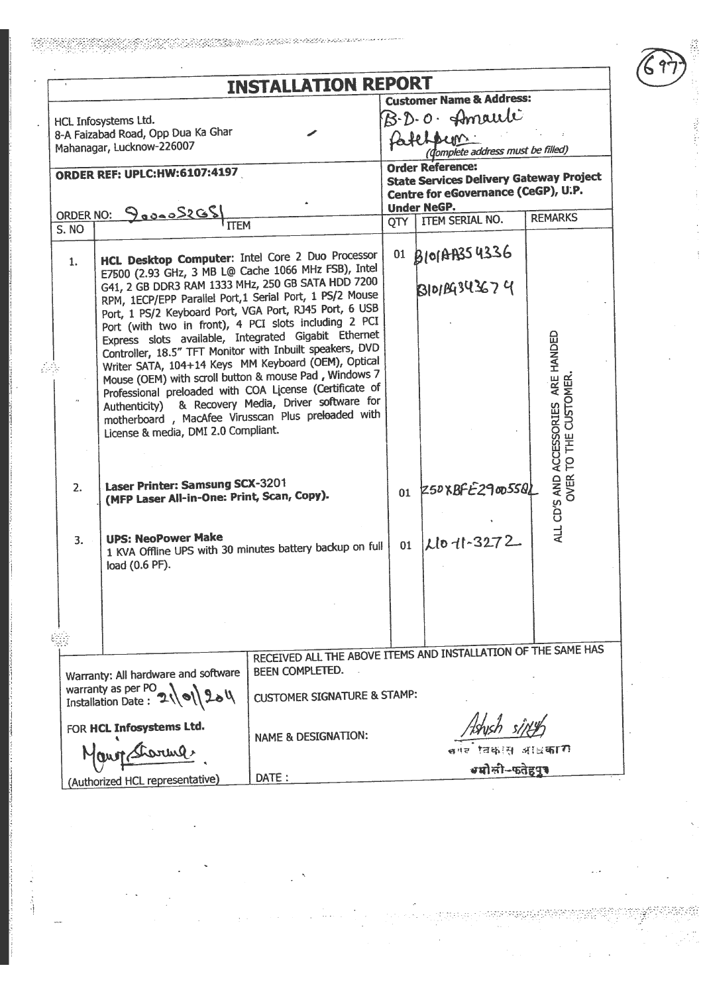|                                            |                                                                                                                 | <b>INSTALLATION REPORT</b>                                    |               |                                                |                                               |  |
|--------------------------------------------|-----------------------------------------------------------------------------------------------------------------|---------------------------------------------------------------|---------------|------------------------------------------------|-----------------------------------------------|--|
|                                            |                                                                                                                 |                                                               |               | <b>Customer Name &amp; Address:</b>            |                                               |  |
|                                            | HCL Infosystems Ltd.                                                                                            |                                                               | B.D.O. Amauli |                                                |                                               |  |
|                                            | 8-A Faizabad Road, Opp Dua Ka Ghar                                                                              |                                                               |               | Patchbum                                       |                                               |  |
|                                            | Mahanagar, Lucknow-226007                                                                                       |                                                               |               | tomplete address must be filled)               |                                               |  |
|                                            | <b>ORDER REF: UPLC:HW:6107:4197</b>                                                                             |                                                               |               | <b>Order Reference:</b>                        |                                               |  |
|                                            |                                                                                                                 |                                                               |               | <b>State Services Delivery Gateway Project</b> |                                               |  |
|                                            |                                                                                                                 |                                                               |               | Centre for eGovernance (CeGP), U.P.            |                                               |  |
|                                            | ORDER NO: 9000052GS                                                                                             |                                                               |               | <b>Under NeGP.</b><br>QTY   ITEM SERIAL NO.    | <b>REMARKS</b>                                |  |
| $\overline{S}$ . NO                        |                                                                                                                 |                                                               |               |                                                |                                               |  |
|                                            |                                                                                                                 |                                                               |               | 01 B101AB354336                                |                                               |  |
| 1.                                         | HCL Desktop Computer: Intel Core 2 Duo Processor<br>E7500 (2.93 GHz, 3 MB L@ Cache 1066 MHz FSB), Intel         |                                                               |               |                                                |                                               |  |
|                                            | G41, 2 GB DDR3 RAM 1333 MHz, 250 GB SATA HDD 7200                                                               |                                                               |               | <b>BIOILG343674</b>                            |                                               |  |
|                                            | RPM, 1ECP/EPP Parallel Port, 1 Serial Port, 1 PS/2 Mouse                                                        |                                                               |               |                                                |                                               |  |
|                                            | Port, 1 PS/2 Keyboard Port, VGA Port, RJ45 Port, 6 USB                                                          |                                                               |               |                                                |                                               |  |
|                                            | Port (with two in front), 4 PCI slots including 2 PCI                                                           |                                                               |               |                                                |                                               |  |
|                                            | Express slots available, Integrated Gigabit Ethernet                                                            |                                                               |               |                                                |                                               |  |
|                                            | Controller, 18.5" TFT Monitor with Inbuilt speakers, DVD<br>Writer SATA, 104+14 Keys MM Keyboard (OEM), Optical |                                                               |               |                                                |                                               |  |
|                                            | Mouse (OEM) with scroll button & mouse Pad, Windows 7                                                           |                                                               |               |                                                | ARE HANDED                                    |  |
|                                            | Professional preloaded with COA License (Certificate of                                                         |                                                               |               |                                                | TO THE CUSTOMER                               |  |
|                                            |                                                                                                                 | Authenticity) & Recovery Media, Driver software for           |               |                                                |                                               |  |
|                                            | motherboard, MacAfee Virusscan Plus preloaded with                                                              |                                                               |               |                                                |                                               |  |
|                                            | License & media, DMI 2.0 Compliant.                                                                             |                                                               |               |                                                |                                               |  |
|                                            |                                                                                                                 |                                                               |               |                                                |                                               |  |
|                                            |                                                                                                                 |                                                               |               |                                                |                                               |  |
| 2.                                         | Laser Printer: Samsung SCX-3201                                                                                 |                                                               |               |                                                | ALL CD'S AND ACCESSORIES<br>OVER <sup>-</sup> |  |
|                                            | (MFP Laser All-in-One: Print, Scan, Copy).                                                                      |                                                               |               | $01$ Z50XBFE29005501                           |                                               |  |
|                                            |                                                                                                                 |                                                               |               |                                                |                                               |  |
|                                            |                                                                                                                 |                                                               |               |                                                |                                               |  |
| 3.                                         | <b>UPS: NeoPower Make</b><br>1 KVA Offline UPS with 30 minutes battery backup on full                           |                                                               | 01            | Llo-11-3272                                    |                                               |  |
|                                            | load (0.6 PF).                                                                                                  |                                                               |               |                                                |                                               |  |
|                                            |                                                                                                                 |                                                               |               |                                                |                                               |  |
|                                            |                                                                                                                 |                                                               |               |                                                |                                               |  |
|                                            |                                                                                                                 |                                                               |               |                                                |                                               |  |
|                                            |                                                                                                                 |                                                               |               |                                                |                                               |  |
|                                            |                                                                                                                 |                                                               |               |                                                |                                               |  |
|                                            |                                                                                                                 | RECEIVED ALL THE ABOVE ITEMS AND INSTALLATION OF THE SAME HAS |               |                                                |                                               |  |
|                                            | Warranty: All hardware and software                                                                             | BEEN COMPLETED.                                               |               |                                                |                                               |  |
| warranty as per PO<br>Installation Date: 2 |                                                                                                                 |                                                               |               |                                                |                                               |  |
|                                            |                                                                                                                 | <b>CUSTOMER SIGNATURE &amp; STAMP:</b>                        |               |                                                |                                               |  |
|                                            |                                                                                                                 |                                                               |               |                                                |                                               |  |
|                                            | FOR HCL Infosystems Ltd.                                                                                        | <b>NAME &amp; DESIGNATION:</b>                                |               |                                                |                                               |  |
|                                            | Maron Sharma                                                                                                    |                                                               |               |                                                |                                               |  |
|                                            |                                                                                                                 |                                                               |               |                                                |                                               |  |
|                                            | (Authorized HCL representative)                                                                                 | DATE:                                                         |               |                                                |                                               |  |

kala di kabupatén Kabupatén Kabupatén Kabupatén Kabupatén Kabupatén Kabupatén Kabupatén Kabupatén Kabupatén Ka

33

等

ļ

1. 计内容

ţ

 $\bar{\psi}$ 

 $\bar{z}$ 

in Al

 $\bar{\beta}$ 

my

 $\overline{\phantom{a}}$ 

ಜ್ಞಾನ ಕಥೆ:<br>ಇಲ್ಲಿ ಕೆಲ್ಲ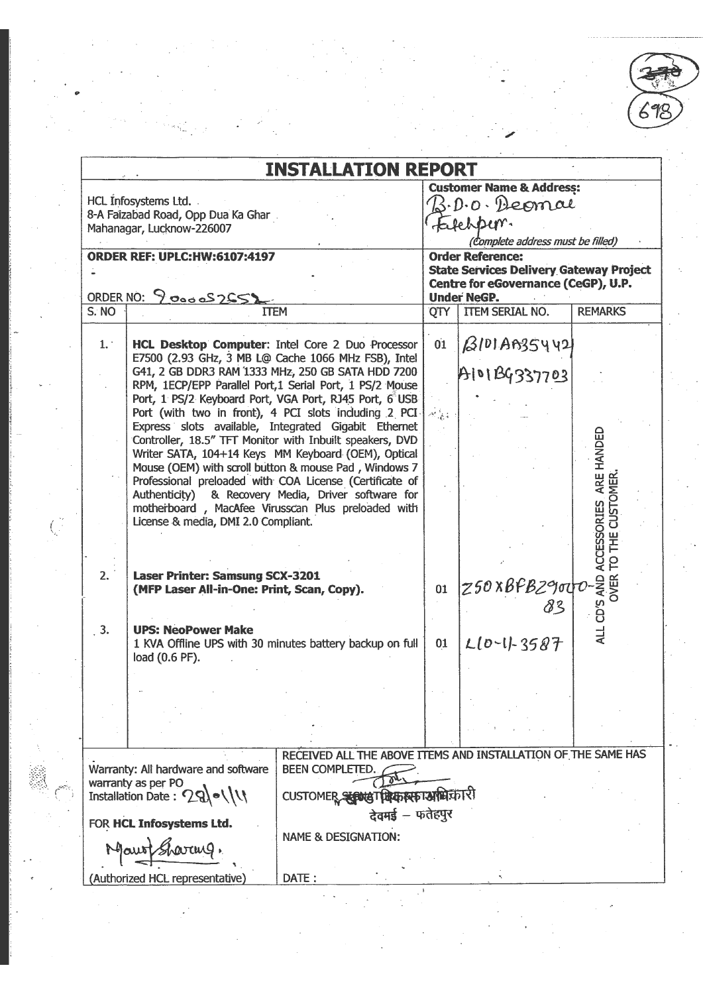692

| <b>INSTALLATION REPORT</b><br><b>Customer Name &amp; Address:</b><br>HCL Infosystems Ltd.<br>3. D. o. Deomal<br>8-A Faizabad Road, Opp Dua Ka Ghar<br>Falchber.<br>Mahanagar, Lucknow-226007<br>(Complete address must be filled)<br><b>Order Reference:</b><br><b>State Services Delivery Gateway Project</b><br>Centre for eGovernance (CeGP), U.P.<br><b>Under NeGP.</b><br>ITEM SERIAL NO.<br><b>REMARKS</b><br>QTY<br><b>ITEM</b><br>AlDIAB35442<br>01<br>1.<br>HCL Desktop Computer: Intel Core 2 Duo Processor<br>E7500 (2.93 GHz, 3 MB L@ Cache 1066 MHz FSB), Intel<br>A101BG337703<br>G41, 2 GB DDR3 RAM 1333 MHz, 250 GB SATA HDD 7200<br>RPM, 1ECP/EPP Parallel Port, 1 Serial Port, 1 PS/2 Mouse<br>Port, 1 PS/2 Keyboard Port, VGA Port, RJ45 Port, 6 USB<br>Port (with two in front), 4 PCI slots including 2 PCI<br>Express slots available, Integrated Gigabit Ethernet<br>ARE HANDED<br>Controller, 18.5" TFT Monitor with Inbuilt speakers, DVD<br>Writer SATA, 104+14 Keys MM Keyboard (OEM), Optical<br>Mouse (OEM) with scroll button & mouse Pad, Windows 7<br><b>JSTOMER</b><br>Professional preloaded with COA License (Certificate of<br>Authenticity) & Recovery Media, Driver software for<br><b>CESSORIES</b><br>motherboard, MacAfee Virusscan Plus preloaded with<br>License & media, DMI 2.0 Compliant.<br>ALL CD'S AND A<br>OVER TI<br>2.<br>Laser Printer: Samsung SCX-3201<br>z50xBFBz9ota<br>01<br>(MFP Laser All-in-One: Print, Scan, Copy).<br>83<br>3.<br><b>UPS: NeoPower Make</b><br>$L[0-1]-3587$<br>01<br>1 KVA Offline UPS with 30 minutes battery backup on full<br>load (0.6 PF).<br>RECEIVED ALL THE ABOVE ITEMS AND INSTALLATION OF THE SAME HAS<br><b>BEEN COMPLETED.</b><br>CUSTOMER SERINGT मिकास काममिकारी<br>देवमई - फतेहपुर<br><b>NAME &amp; DESIGNATION:</b><br>Mauri Sharang. |                                 |       |  |  |
|---------------------------------------------------------------------------------------------------------------------------------------------------------------------------------------------------------------------------------------------------------------------------------------------------------------------------------------------------------------------------------------------------------------------------------------------------------------------------------------------------------------------------------------------------------------------------------------------------------------------------------------------------------------------------------------------------------------------------------------------------------------------------------------------------------------------------------------------------------------------------------------------------------------------------------------------------------------------------------------------------------------------------------------------------------------------------------------------------------------------------------------------------------------------------------------------------------------------------------------------------------------------------------------------------------------------------------------------------------------------------------------------------------------------------------------------------------------------------------------------------------------------------------------------------------------------------------------------------------------------------------------------------------------------------------------------------------------------------------------------------------------------------------------------------------------------------------------|---------------------------------|-------|--|--|
|                                                                                                                                                                                                                                                                                                                                                                                                                                                                                                                                                                                                                                                                                                                                                                                                                                                                                                                                                                                                                                                                                                                                                                                                                                                                                                                                                                                                                                                                                                                                                                                                                                                                                                                                                                                                                                       |                                 |       |  |  |
|                                                                                                                                                                                                                                                                                                                                                                                                                                                                                                                                                                                                                                                                                                                                                                                                                                                                                                                                                                                                                                                                                                                                                                                                                                                                                                                                                                                                                                                                                                                                                                                                                                                                                                                                                                                                                                       |                                 |       |  |  |
|                                                                                                                                                                                                                                                                                                                                                                                                                                                                                                                                                                                                                                                                                                                                                                                                                                                                                                                                                                                                                                                                                                                                                                                                                                                                                                                                                                                                                                                                                                                                                                                                                                                                                                                                                                                                                                       |                                 |       |  |  |
|                                                                                                                                                                                                                                                                                                                                                                                                                                                                                                                                                                                                                                                                                                                                                                                                                                                                                                                                                                                                                                                                                                                                                                                                                                                                                                                                                                                                                                                                                                                                                                                                                                                                                                                                                                                                                                       |                                 |       |  |  |
| <b>ORDER REF: UPLC:HW:6107:4197</b><br>ORDER NO: 9 00005255)                                                                                                                                                                                                                                                                                                                                                                                                                                                                                                                                                                                                                                                                                                                                                                                                                                                                                                                                                                                                                                                                                                                                                                                                                                                                                                                                                                                                                                                                                                                                                                                                                                                                                                                                                                          |                                 |       |  |  |
|                                                                                                                                                                                                                                                                                                                                                                                                                                                                                                                                                                                                                                                                                                                                                                                                                                                                                                                                                                                                                                                                                                                                                                                                                                                                                                                                                                                                                                                                                                                                                                                                                                                                                                                                                                                                                                       |                                 |       |  |  |
| S. NO                                                                                                                                                                                                                                                                                                                                                                                                                                                                                                                                                                                                                                                                                                                                                                                                                                                                                                                                                                                                                                                                                                                                                                                                                                                                                                                                                                                                                                                                                                                                                                                                                                                                                                                                                                                                                                 |                                 |       |  |  |
|                                                                                                                                                                                                                                                                                                                                                                                                                                                                                                                                                                                                                                                                                                                                                                                                                                                                                                                                                                                                                                                                                                                                                                                                                                                                                                                                                                                                                                                                                                                                                                                                                                                                                                                                                                                                                                       |                                 |       |  |  |
| Warranty: All hardware and software<br>warranty as per PO<br>Installation Date: 29)      <br>FOR HCL Infosystems Ltd.                                                                                                                                                                                                                                                                                                                                                                                                                                                                                                                                                                                                                                                                                                                                                                                                                                                                                                                                                                                                                                                                                                                                                                                                                                                                                                                                                                                                                                                                                                                                                                                                                                                                                                                 |                                 |       |  |  |
|                                                                                                                                                                                                                                                                                                                                                                                                                                                                                                                                                                                                                                                                                                                                                                                                                                                                                                                                                                                                                                                                                                                                                                                                                                                                                                                                                                                                                                                                                                                                                                                                                                                                                                                                                                                                                                       |                                 |       |  |  |
|                                                                                                                                                                                                                                                                                                                                                                                                                                                                                                                                                                                                                                                                                                                                                                                                                                                                                                                                                                                                                                                                                                                                                                                                                                                                                                                                                                                                                                                                                                                                                                                                                                                                                                                                                                                                                                       |                                 |       |  |  |
|                                                                                                                                                                                                                                                                                                                                                                                                                                                                                                                                                                                                                                                                                                                                                                                                                                                                                                                                                                                                                                                                                                                                                                                                                                                                                                                                                                                                                                                                                                                                                                                                                                                                                                                                                                                                                                       |                                 |       |  |  |
|                                                                                                                                                                                                                                                                                                                                                                                                                                                                                                                                                                                                                                                                                                                                                                                                                                                                                                                                                                                                                                                                                                                                                                                                                                                                                                                                                                                                                                                                                                                                                                                                                                                                                                                                                                                                                                       |                                 |       |  |  |
|                                                                                                                                                                                                                                                                                                                                                                                                                                                                                                                                                                                                                                                                                                                                                                                                                                                                                                                                                                                                                                                                                                                                                                                                                                                                                                                                                                                                                                                                                                                                                                                                                                                                                                                                                                                                                                       |                                 |       |  |  |
|                                                                                                                                                                                                                                                                                                                                                                                                                                                                                                                                                                                                                                                                                                                                                                                                                                                                                                                                                                                                                                                                                                                                                                                                                                                                                                                                                                                                                                                                                                                                                                                                                                                                                                                                                                                                                                       |                                 |       |  |  |
|                                                                                                                                                                                                                                                                                                                                                                                                                                                                                                                                                                                                                                                                                                                                                                                                                                                                                                                                                                                                                                                                                                                                                                                                                                                                                                                                                                                                                                                                                                                                                                                                                                                                                                                                                                                                                                       |                                 |       |  |  |
|                                                                                                                                                                                                                                                                                                                                                                                                                                                                                                                                                                                                                                                                                                                                                                                                                                                                                                                                                                                                                                                                                                                                                                                                                                                                                                                                                                                                                                                                                                                                                                                                                                                                                                                                                                                                                                       |                                 |       |  |  |
|                                                                                                                                                                                                                                                                                                                                                                                                                                                                                                                                                                                                                                                                                                                                                                                                                                                                                                                                                                                                                                                                                                                                                                                                                                                                                                                                                                                                                                                                                                                                                                                                                                                                                                                                                                                                                                       |                                 |       |  |  |
|                                                                                                                                                                                                                                                                                                                                                                                                                                                                                                                                                                                                                                                                                                                                                                                                                                                                                                                                                                                                                                                                                                                                                                                                                                                                                                                                                                                                                                                                                                                                                                                                                                                                                                                                                                                                                                       |                                 |       |  |  |
|                                                                                                                                                                                                                                                                                                                                                                                                                                                                                                                                                                                                                                                                                                                                                                                                                                                                                                                                                                                                                                                                                                                                                                                                                                                                                                                                                                                                                                                                                                                                                                                                                                                                                                                                                                                                                                       |                                 |       |  |  |
|                                                                                                                                                                                                                                                                                                                                                                                                                                                                                                                                                                                                                                                                                                                                                                                                                                                                                                                                                                                                                                                                                                                                                                                                                                                                                                                                                                                                                                                                                                                                                                                                                                                                                                                                                                                                                                       |                                 |       |  |  |
|                                                                                                                                                                                                                                                                                                                                                                                                                                                                                                                                                                                                                                                                                                                                                                                                                                                                                                                                                                                                                                                                                                                                                                                                                                                                                                                                                                                                                                                                                                                                                                                                                                                                                                                                                                                                                                       |                                 |       |  |  |
|                                                                                                                                                                                                                                                                                                                                                                                                                                                                                                                                                                                                                                                                                                                                                                                                                                                                                                                                                                                                                                                                                                                                                                                                                                                                                                                                                                                                                                                                                                                                                                                                                                                                                                                                                                                                                                       |                                 |       |  |  |
|                                                                                                                                                                                                                                                                                                                                                                                                                                                                                                                                                                                                                                                                                                                                                                                                                                                                                                                                                                                                                                                                                                                                                                                                                                                                                                                                                                                                                                                                                                                                                                                                                                                                                                                                                                                                                                       |                                 |       |  |  |
|                                                                                                                                                                                                                                                                                                                                                                                                                                                                                                                                                                                                                                                                                                                                                                                                                                                                                                                                                                                                                                                                                                                                                                                                                                                                                                                                                                                                                                                                                                                                                                                                                                                                                                                                                                                                                                       |                                 |       |  |  |
|                                                                                                                                                                                                                                                                                                                                                                                                                                                                                                                                                                                                                                                                                                                                                                                                                                                                                                                                                                                                                                                                                                                                                                                                                                                                                                                                                                                                                                                                                                                                                                                                                                                                                                                                                                                                                                       |                                 |       |  |  |
|                                                                                                                                                                                                                                                                                                                                                                                                                                                                                                                                                                                                                                                                                                                                                                                                                                                                                                                                                                                                                                                                                                                                                                                                                                                                                                                                                                                                                                                                                                                                                                                                                                                                                                                                                                                                                                       |                                 |       |  |  |
|                                                                                                                                                                                                                                                                                                                                                                                                                                                                                                                                                                                                                                                                                                                                                                                                                                                                                                                                                                                                                                                                                                                                                                                                                                                                                                                                                                                                                                                                                                                                                                                                                                                                                                                                                                                                                                       |                                 |       |  |  |
|                                                                                                                                                                                                                                                                                                                                                                                                                                                                                                                                                                                                                                                                                                                                                                                                                                                                                                                                                                                                                                                                                                                                                                                                                                                                                                                                                                                                                                                                                                                                                                                                                                                                                                                                                                                                                                       |                                 |       |  |  |
|                                                                                                                                                                                                                                                                                                                                                                                                                                                                                                                                                                                                                                                                                                                                                                                                                                                                                                                                                                                                                                                                                                                                                                                                                                                                                                                                                                                                                                                                                                                                                                                                                                                                                                                                                                                                                                       |                                 |       |  |  |
|                                                                                                                                                                                                                                                                                                                                                                                                                                                                                                                                                                                                                                                                                                                                                                                                                                                                                                                                                                                                                                                                                                                                                                                                                                                                                                                                                                                                                                                                                                                                                                                                                                                                                                                                                                                                                                       |                                 |       |  |  |
|                                                                                                                                                                                                                                                                                                                                                                                                                                                                                                                                                                                                                                                                                                                                                                                                                                                                                                                                                                                                                                                                                                                                                                                                                                                                                                                                                                                                                                                                                                                                                                                                                                                                                                                                                                                                                                       | (Authorized HCL representative) | DATE: |  |  |

 $\frac{1}{2}$ 

 $\Big(\bigcup_{i=1}^{N}$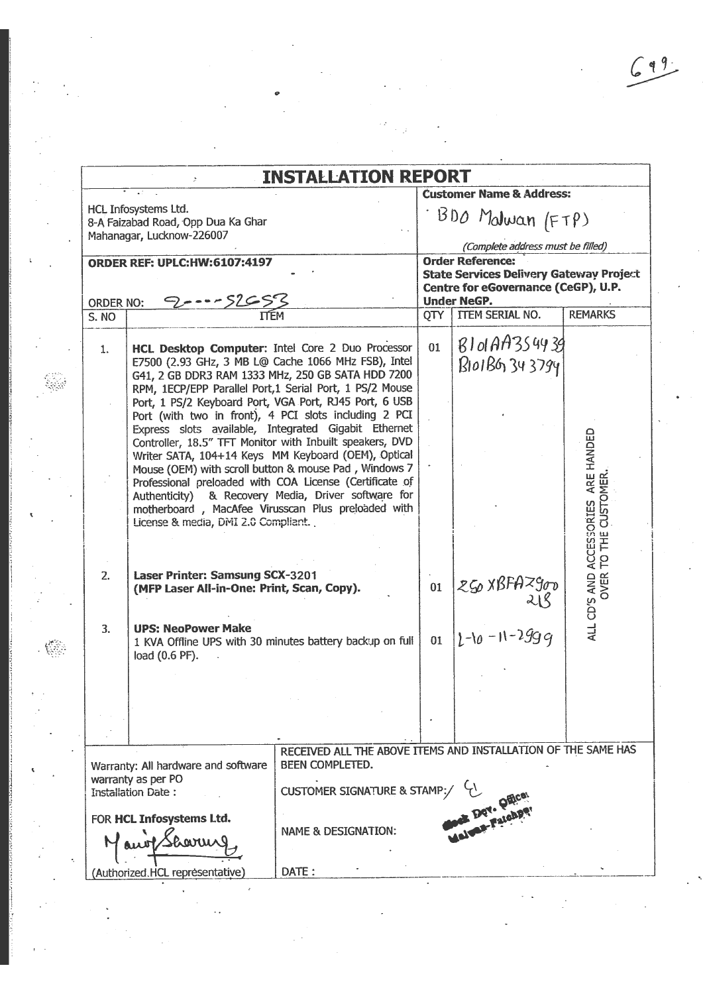$\hat{\boldsymbol{\beta}}$ 

|                                                 | ž.                                                                            | <b>INSTALLATION REPORT</b>                                                                                                                                                                                                                                                           |     |                                                                                                                                                                                                                                                                                                                                                          |                                               |
|-------------------------------------------------|-------------------------------------------------------------------------------|--------------------------------------------------------------------------------------------------------------------------------------------------------------------------------------------------------------------------------------------------------------------------------------|-----|----------------------------------------------------------------------------------------------------------------------------------------------------------------------------------------------------------------------------------------------------------------------------------------------------------------------------------------------------------|-----------------------------------------------|
| HCL Infosystems Ltd.                            | 8-A Faizabad Road, Opp Dua Ka Ghar<br>Mahanagar, Lucknow-226007               |                                                                                                                                                                                                                                                                                      |     | <b>Customer Name &amp; Address:</b><br>BDO Malwan (FTP)<br>(Complete address must be filled)                                                                                                                                                                                                                                                             |                                               |
|                                                 | <b>ORDER REF: UPLC:HW:6107:4197</b>                                           |                                                                                                                                                                                                                                                                                      |     | <b>Order Reference:</b><br><b>State Services Delivery Gateway Project</b><br>Centre for eGovernance (CeGP), U.P.                                                                                                                                                                                                                                         |                                               |
| ORDER NO:<br>S. NO                              |                                                                               |                                                                                                                                                                                                                                                                                      | OTY | <b>Under NeGP.</b><br><b>TTEM SERIAL NO.</b>                                                                                                                                                                                                                                                                                                             | <b>REMARKS</b>                                |
| 1.                                              |                                                                               | HCL Desktop Computer: Intel Core 2 Duo Processor<br>E7500 (2.93 GHz, 3 MB L@ Cache 1066 MHz FSB), Intel<br>G41, 2 GB DDR3 RAM 1333 MHz, 250 GB SATA HDD 7200<br>RPM, 1ECP/EPP Parallel Port,1 Serial Port, 1 PS/2 Mouse                                                              | 01  | B101A4354939<br>B101BG 343794                                                                                                                                                                                                                                                                                                                            |                                               |
|                                                 |                                                                               | Port, 1 PS/2 Keyboard Port, VGA Port, RJ45 Port, 6 USB<br>Port (with two in front), 4 PCI slots including 2 PCI<br>Express slots available, Integrated Gigabit Ethernet<br>Controller, 18.5" TFT Monitor with Inbuilt speakers, DVD                                                  |     |                                                                                                                                                                                                                                                                                                                                                          |                                               |
|                                                 | License & media, DMI 2.0 Compliant.                                           | Writer SATA, 104+14 Keys MM Keyboard (OEM), Optical<br>Mouse (OEM) with scroll button & mouse Pad, Windows 7<br>Professional preloaded with COA License (Certificate of<br>Authenticity) & Recovery Media, Driver software for<br>motherboard, MacAfee Virusscan Plus preloaded with |     |                                                                                                                                                                                                                                                                                                                                                          | ARE HANDED<br><b>OMER</b><br>CUST<br>TO THE   |
| 2.                                              | Laser Printer: Samsung SCX-3201<br>(MFP Laser All-in-One: Print, Scan, Copy). |                                                                                                                                                                                                                                                                                      | 01  | $\begin{array}{r} \n\chi_5 \chi_8 + \chi_9 \chi_8 \chi_8 \nu_1 \chi_1 \nu_2 \nu_1 \nu_1 \nu_2 \nu_3 \nu_4 \nu_1 \nu_2 \nu_3 \nu_4 \nu_5 \nu_1 \nu_2 \nu_3 \nu_4 \nu_5 \nu_5 \nu_6 \nu_1 \nu_2 \nu_3 \nu_4 \nu_5 \nu_6 \nu_1 \nu_2 \nu_3 \nu_4 \nu_5 \nu_6 \nu_1 \nu_1 \nu_2 \nu_3 \nu_4 \nu_5 \nu_1 \nu_2 \nu_3 \nu_4 \nu_5 \nu_1 \nu_2 \nu_3 \nu_4 \nu$ | ALL CD'S AND ACCESSORIES<br>OVER <sup>-</sup> |
| 3.                                              | <b>UPS: NeoPower Make</b><br>load (0.6 PF).                                   | 1 KVA Offline UPS with 30 minutes battery backup on full                                                                                                                                                                                                                             | 01  |                                                                                                                                                                                                                                                                                                                                                          |                                               |
|                                                 |                                                                               |                                                                                                                                                                                                                                                                                      |     |                                                                                                                                                                                                                                                                                                                                                          |                                               |
| warranty as per PO<br><b>Installation Date:</b> | Warranty: All hardware and software                                           | RECEIVED ALL THE ABOVE ITEMS AND INSTALLATION OF THE SAME HAS<br>BEEN COMPLETED.<br><b>CUSTOMER SIGNATURE &amp; STAMP</b>                                                                                                                                                            |     |                                                                                                                                                                                                                                                                                                                                                          |                                               |
|                                                 | FOR HCL Infosystems Ltd.                                                      | <b>NAME &amp; DESIGNATION:</b>                                                                                                                                                                                                                                                       |     |                                                                                                                                                                                                                                                                                                                                                          |                                               |
|                                                 | (Authorized, HCL representative)                                              | DATE:                                                                                                                                                                                                                                                                                |     |                                                                                                                                                                                                                                                                                                                                                          |                                               |

 $\ddot{\phantom{0}}$ 

 $\bullet$ 

Ļ,  $\frac{1}{2}$ 

 $\frac{1}{2}$ 

 $\ddot{\cdot}$ 

 $\hat{\mathbf{v}}$ 

ţ.

 $\bar{\mathbf{x}}$ 

 $\langle \langle \rangle \rangle$ 

 $\frac{1}{2}$ 

 $\ddot{\cdot}$ 

 $\mathbb{R}^2$ 

 $\sim$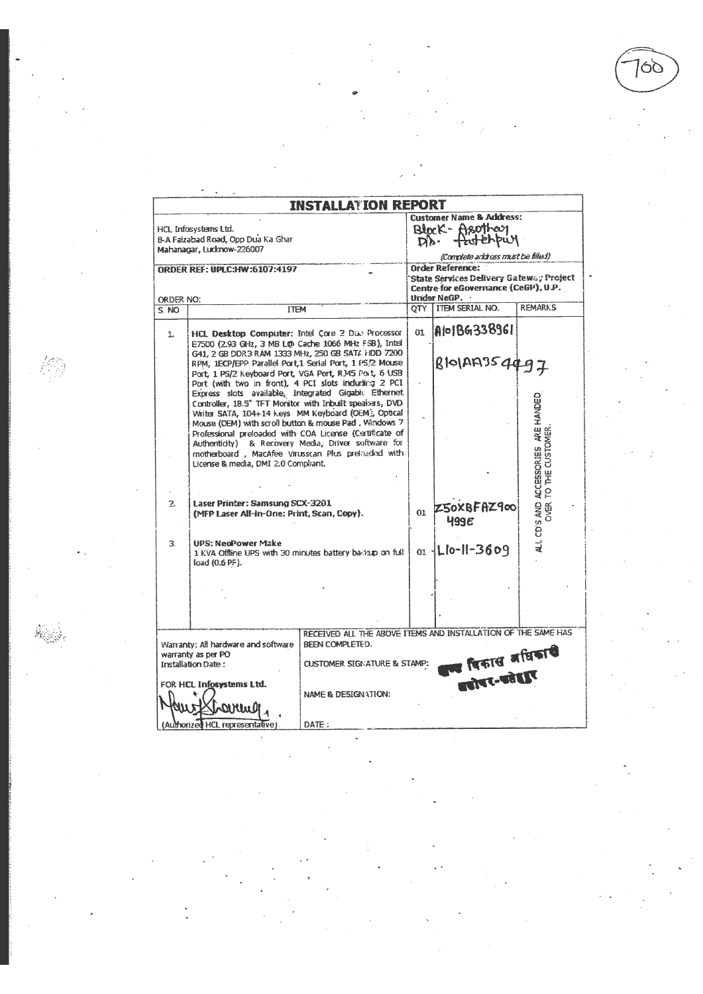QG

|                  |                                                                                                                                                                                                                          | <b>INSTALLATION REPORT</b>                                                                                                                                                                                                                                                                                                                                                                                                                                                                                                                                         |      |                                                                                                                                 |                                                        |
|------------------|--------------------------------------------------------------------------------------------------------------------------------------------------------------------------------------------------------------------------|--------------------------------------------------------------------------------------------------------------------------------------------------------------------------------------------------------------------------------------------------------------------------------------------------------------------------------------------------------------------------------------------------------------------------------------------------------------------------------------------------------------------------------------------------------------------|------|---------------------------------------------------------------------------------------------------------------------------------|--------------------------------------------------------|
|                  | HCL Infosystems Ltd.<br>8-A Faizabad Road, Opp Dua Ka Ghar<br>Mahanagar, Ludknow-226007<br><b>ORDER REF: UPLC:HW:6107:4197</b>                                                                                           |                                                                                                                                                                                                                                                                                                                                                                                                                                                                                                                                                                    |      | <b>Customer Name &amp; Address:</b><br>Block-Asothery<br>DD. Putchbuy<br>(Complete aridress must be filled)<br>Order Reference: |                                                        |
| ORDER NO:        |                                                                                                                                                                                                                          |                                                                                                                                                                                                                                                                                                                                                                                                                                                                                                                                                                    |      | State Services Delivery Gateway Project<br>Centre for eGovernance (CeGP), U.P.<br>Under NeGP.                                   |                                                        |
| S. NO            | <b>TTEM</b>                                                                                                                                                                                                              |                                                                                                                                                                                                                                                                                                                                                                                                                                                                                                                                                                    | OTY. | <b>ITEM SERIAL NO.</b>                                                                                                          | <b>REMARKS</b>                                         |
| 1.               | HCL Desktop Computer: Intel Core 2 Due Processor<br>E7500 (2.93 GHz, 3 MB L@ Cache 1066 MHz F3B), Intel<br>G41, 2 GB DDR3 RAM 1333 MHz, 250 GB SAT/ FIDD 7200<br>RPM, IECP/EPP Parallel Port,1 Serial Port, 1 PS/2 Mouse |                                                                                                                                                                                                                                                                                                                                                                                                                                                                                                                                                                    | 01   | Alo1BG338961<br>BIO1A9354497                                                                                                    |                                                        |
|                  |                                                                                                                                                                                                                          | Port, 1 PS/2 Keyboard Port, VGA Port, RJ45 Port, 6 USB<br>Port (with two in front), 4 PCI slots indurfing 2 PCI<br>Express slots available, Integrated Gigabii Ethernet<br>Controller, 18.5" TFT Monitor with Inbuilt speakers, DVD<br>Writer SATA, 104+14 keys MM Keyboard (CEM), Optical<br>Mouse (OEM) with scroll button & mouse Pad. Windows 7<br>Professional preloaded with COA License (Certificate of<br>Authenticity) & Recovery Media, Driver software for<br>motherboard, MacAfee Virusscan Plus prelaaded with<br>License & media, DMI 2.0 Compliant. |      |                                                                                                                                 | ALL CD'S AND ACCESSORIES ARE HANDED<br>TO THE CUSTOMER |
| $\overline{2}$ . | Laser Printer: Samsung SCX-3201<br>(MFP Laser All-in-One: Print, Scan, Copy).                                                                                                                                            |                                                                                                                                                                                                                                                                                                                                                                                                                                                                                                                                                                    | 01   | Z50XBFAZ900<br>499E                                                                                                             | <b>OVER</b>                                            |
| 3.               | <b>UPS: NeoPower Make</b><br>load (0.6 PF).                                                                                                                                                                              | 1 KVA Offline UPS with 30 minutes battery bariorp on full                                                                                                                                                                                                                                                                                                                                                                                                                                                                                                          |      | $_{01}$ -Lio-II-3609                                                                                                            |                                                        |
|                  |                                                                                                                                                                                                                          |                                                                                                                                                                                                                                                                                                                                                                                                                                                                                                                                                                    |      |                                                                                                                                 |                                                        |
|                  | Warranty: All hardware and software<br>warranty as per PO<br><b>Installation Date:</b>                                                                                                                                   | RECEIVED ALL THE ABOVE ITEMS AND INSTALLATION OF THE SAME HAS<br>BEEN COMPLETED.<br><b>CUSTOMER SIGNATURE &amp; STAMP:</b>                                                                                                                                                                                                                                                                                                                                                                                                                                         |      | ड विकास अधिकारी<br>डाइट-उदेहरू                                                                                                  |                                                        |
|                  | FOR HCL Infosystems Ltd.<br>(Authorized HCL representative)                                                                                                                                                              | NAME & DESIGNATION:<br>DATE:                                                                                                                                                                                                                                                                                                                                                                                                                                                                                                                                       |      |                                                                                                                                 |                                                        |

检测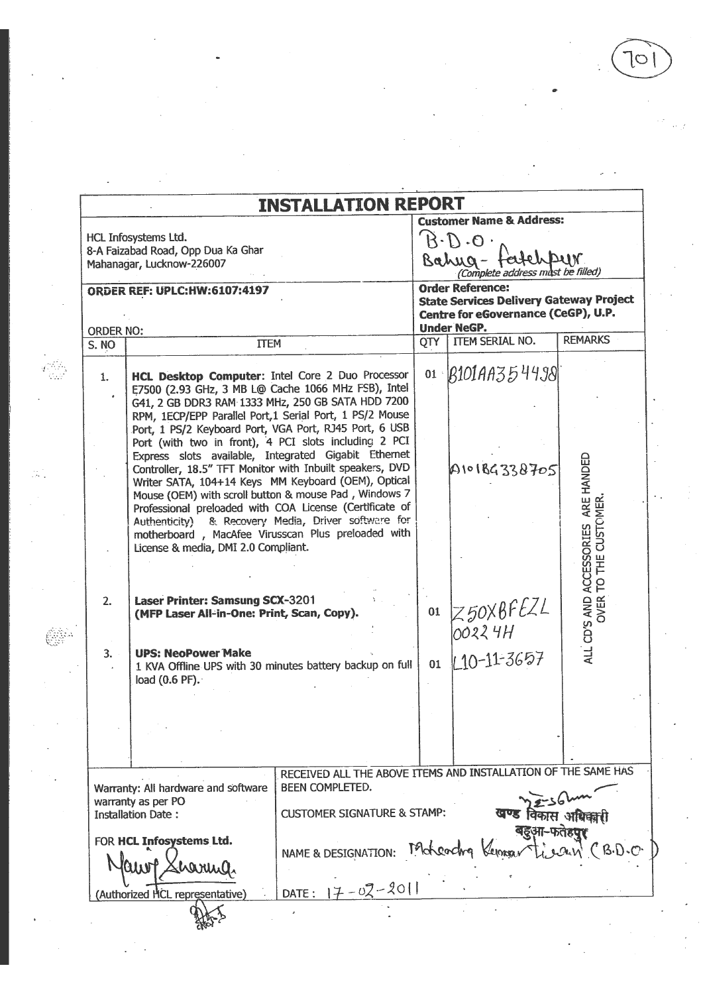$\cdot$ 

|                  | <b>INSTALLATION REPORT</b>                                                                                                                                                                                                                                                                                                                                                                          |    | <b>Customer Name &amp; Address:</b>                                                                              |                                                      |
|------------------|-----------------------------------------------------------------------------------------------------------------------------------------------------------------------------------------------------------------------------------------------------------------------------------------------------------------------------------------------------------------------------------------------------|----|------------------------------------------------------------------------------------------------------------------|------------------------------------------------------|
|                  | HCL Infosystems Ltd.                                                                                                                                                                                                                                                                                                                                                                                |    | $B \cdot D \cdot O$ .                                                                                            |                                                      |
|                  | 8-A Faizabad Road, Opp Dua Ka Ghar<br>Mahanagar, Lucknow-226007                                                                                                                                                                                                                                                                                                                                     |    | Bahug-<br>ug - feutel pur                                                                                        |                                                      |
|                  | <b>ORDER REF: UPLC:HW:6107:4197</b>                                                                                                                                                                                                                                                                                                                                                                 |    | <b>Order Reference:</b><br><b>State Services Delivery Gateway Project</b><br>Centre for eGovernance (CeGP), U.P. |                                                      |
| <b>ORDER NO:</b> |                                                                                                                                                                                                                                                                                                                                                                                                     |    | <b>Under NeGP.</b><br>QTY   ITEM SERIAL NO.                                                                      | <b>REMARKS</b>                                       |
| S. NO            | <b>ITEM</b>                                                                                                                                                                                                                                                                                                                                                                                         |    |                                                                                                                  |                                                      |
| 1.               | HCL Desktop Computer: Intel Core 2 Duo Processor<br>E7500 (2.93 GHz, 3 MB L@ Cache 1066 MHz FSB), Intel<br>G41, 2 GB DDR3 RAM 1333 MHz, 250 GB SATA HDD 7200<br>RPM, 1ECP/EPP Parallel Port, 1 Serial Port, 1 PS/2 Mouse<br>Port, 1 PS/2 Keyboard Port, VGA Port, RJ45 Port, 6 USB<br>Port (with two in front), 4 PCI slots including 2 PCI<br>Express slots available, Integrated Gigabit Ethernet |    | $01 \quad B101A4354498$                                                                                          |                                                      |
|                  | Controller, 18.5" TFT Monitor with Inbuilt speakers, DVD<br>Writer SATA, 104+14 Keys MM Keyboard (OEM), Optical<br>Mouse (OEM) with scroll button & mouse Pad, Windows 7<br>Professional preloaded with COA License (Certificate of<br>Authenticity) & Recovery Media, Driver software for<br>motherboard, MacAfee Virusscan Plus preloaded with<br>License & media, DMI 2.0 Compliant.             |    | A101BG338705                                                                                                     | ARE HANDED                                           |
| 2.               | Laser Printer: Samsung SCX-3201<br>(MFP Laser All-in-One: Print, Scan, Copy).                                                                                                                                                                                                                                                                                                                       | 01 | Z50X8FEZL<br>00224H                                                                                              | ALL CD'S AND ACCESSORIES ARE<br>OVER TO THE CUSTOMER |
| 3.               | <b>UPS: NeoPower Make</b><br>1 KVA Offline UPS with 30 minutes battery backup on full<br>load (0.6 PF).                                                                                                                                                                                                                                                                                             | 01 | $10 - 11 - 3657$                                                                                                 |                                                      |
|                  |                                                                                                                                                                                                                                                                                                                                                                                                     |    |                                                                                                                  |                                                      |
|                  | RECEIVED ALL THE ABOVE ITEMS AND INSTALLATION OF THE SAME HAS<br>BEEN COMPLETED.<br>Warranty: All hardware and software<br>warranty as per PO<br><b>CUSTOMER SIGNATURE &amp; STAMP:</b>                                                                                                                                                                                                             |    |                                                                                                                  |                                                      |
|                  | <b>Installation Date:</b><br>FOR HCL Infosystems Ltd.<br>NAME & DESIGNATION: Moteochy Kerner<br>hari                                                                                                                                                                                                                                                                                                |    |                                                                                                                  |                                                      |
|                  | DATE: $17 - 02 - 2011$<br>Authorized HCL representative)                                                                                                                                                                                                                                                                                                                                            |    |                                                                                                                  |                                                      |

 $\frac{1}{2} \frac{1}{2} \frac{1}{2}$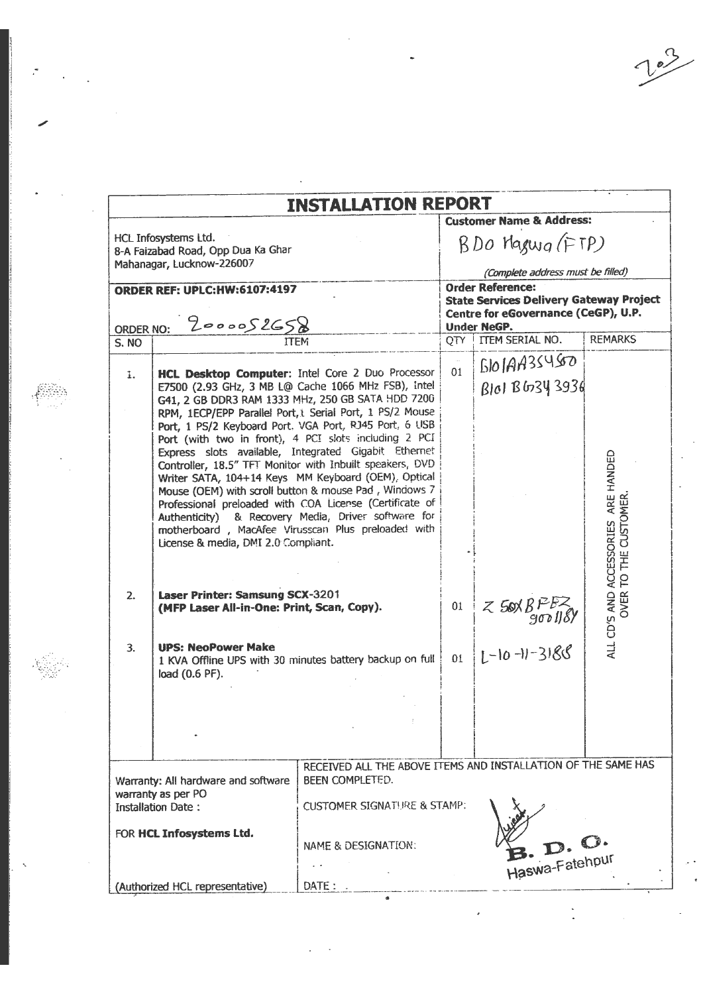$10^2$ 

|                                                                                        |                                                                                                                                                                                                                                                                                                                               | <b>INSTALLATION REPORT</b>                                                                                                                                                                                                        |    |                                                                                                                  |                                                              |
|----------------------------------------------------------------------------------------|-------------------------------------------------------------------------------------------------------------------------------------------------------------------------------------------------------------------------------------------------------------------------------------------------------------------------------|-----------------------------------------------------------------------------------------------------------------------------------------------------------------------------------------------------------------------------------|----|------------------------------------------------------------------------------------------------------------------|--------------------------------------------------------------|
|                                                                                        |                                                                                                                                                                                                                                                                                                                               |                                                                                                                                                                                                                                   |    | <b>Customer Name &amp; Address:</b>                                                                              |                                                              |
|                                                                                        | HCL Infosystems Ltd.<br>8-A Faizabad Road, Opp Dua Ka Ghar                                                                                                                                                                                                                                                                    |                                                                                                                                                                                                                                   |    | BDO Magwa (FTP)                                                                                                  |                                                              |
|                                                                                        | Mahanagar, Lucknow-226007                                                                                                                                                                                                                                                                                                     |                                                                                                                                                                                                                                   |    | (Complete address must be filled)                                                                                |                                                              |
|                                                                                        | <b>ORDER REF: UPLC:HW:6107:4197</b>                                                                                                                                                                                                                                                                                           |                                                                                                                                                                                                                                   |    | <b>Order Reference:</b><br><b>State Services Delivery Gateway Project</b><br>Centre for eGovernance (CeGP), U.P. |                                                              |
| <b>ORDER NO:</b><br>S. NO                                                              | 2000052658<br><b>ITEM</b>                                                                                                                                                                                                                                                                                                     |                                                                                                                                                                                                                                   |    | <b>Under NeGP.</b><br>QTY   ITEM SERIAL NO.                                                                      | <b>REMARKS</b>                                               |
|                                                                                        |                                                                                                                                                                                                                                                                                                                               |                                                                                                                                                                                                                                   |    | $51019935450$                                                                                                    |                                                              |
| $\mathbf{L}$                                                                           | HCL Desktop Computer: Intel Core 2 Duo Processor<br>E7500 (2.93 GHz, 3 MB L@ Cache 1066 MHz FSB), intel<br>G41, 2 GB DDR3 RAM 1333 MHz, 250 GB SATA HDD 7200<br>RPM, 1ECP/EPP Parallel Port, L Serial Port, 1 PS/2 Mouse                                                                                                      |                                                                                                                                                                                                                                   | 01 | Blol BG34 3936                                                                                                   |                                                              |
|                                                                                        | Port, 1 PS/2 Keyboard Port, VGA Port, RJ45 Port, 6 USB<br>Port (with two in front), 4 PCI slots including 2 PCI<br>Express slots available, Integrated Gigabit Ethernet<br>Mouse (OEM) with scroll button & mouse Pad, Windows 7<br>motherboard, MacAfee Virusscan Plus preloaded with<br>License & media, DMI 2.0 Compliant. | Controller, 18.5" TFT Monitor with Inbuilt speakers, DVD<br>Writer SATA, 104+14 Keys MM Keyboard (OEM), Optical<br>Professional preloaded with COA License (Certificate of<br>Authenticity) & Recovery Media, Driver software for |    |                                                                                                                  | ALL CD'S AND ACCESSORIES ARE HANDED<br>OVER TO THE CUSTOMER. |
| 2.                                                                                     | Laser Printer: Samsung SCX-3201<br>(MFP Laser All-in-One: Print, Scan, Copy).                                                                                                                                                                                                                                                 |                                                                                                                                                                                                                                   | 01 | $Z$ Sox $B$ $P$ $EZ$<br>goo ll $S$                                                                               |                                                              |
| 3.                                                                                     | <b>UPS: NeoPower Make</b><br>load (0.6 PF).                                                                                                                                                                                                                                                                                   | 1 KVA Offline UPS with 30 minutes battery backup on full                                                                                                                                                                          |    | $01   L^{-10-11-3188}$                                                                                           |                                                              |
|                                                                                        |                                                                                                                                                                                                                                                                                                                               |                                                                                                                                                                                                                                   |    |                                                                                                                  |                                                              |
| Warranty: All hardware and software<br>warranty as per PO<br><b>Installation Date:</b> |                                                                                                                                                                                                                                                                                                                               | RECEIVED ALL THE ABOVE ITEMS AND INSTALLATION OF THE SAME HAS<br>BEEN COMPLETED.<br><b>CUSTOMER SIGNATURE &amp; STAMP:</b>                                                                                                        |    |                                                                                                                  |                                                              |
|                                                                                        | FOR HCL Infosystems Ltd.                                                                                                                                                                                                                                                                                                      | NAME & DESIGNATION:                                                                                                                                                                                                               |    | Haswa-Fatehpur                                                                                                   |                                                              |
|                                                                                        | (Authorized HCL representative)                                                                                                                                                                                                                                                                                               | DATE:                                                                                                                                                                                                                             |    |                                                                                                                  |                                                              |

 $\label{eq:2.1} \begin{array}{l} \mathcal{R}_{\text{max}}(\mathcal{A}) = \mathcal{A}_{\text{max}}(\mathcal{A}) \times \mathcal{A}_{\text{max}}(\mathcal{A}) \times \mathcal{A}_{\text{max}}(\mathcal{A}) \times \mathcal{A}_{\text{max}}(\mathcal{A}) \times \mathcal{A}_{\text{max}}(\mathcal{A}) \times \mathcal{A}_{\text{max}}(\mathcal{A}) \times \mathcal{A}_{\text{max}}(\mathcal{A}) \times \mathcal{A}_{\text{max}}(\mathcal{A}) \times \mathcal{A}_{\text{max}}(\mathcal{A}) \times \mathcal{A}_{\text{max}}(\mathcal{$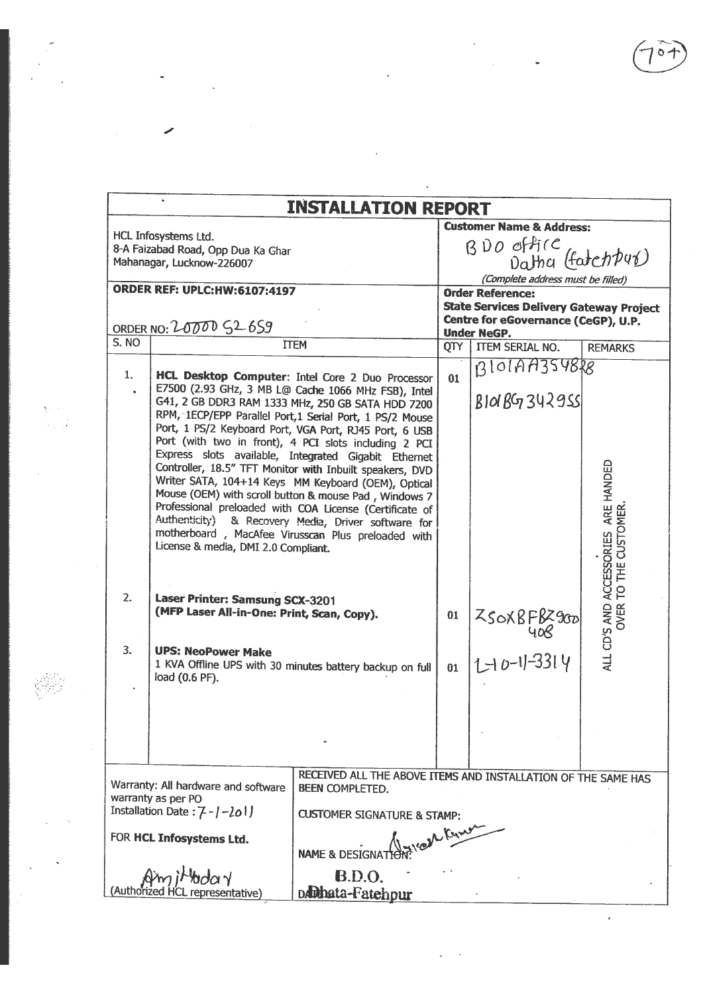$\frac{1}{\sqrt{2}}$ 

 $\frac{1}{2} \sum_{i=1}^{n} \frac{1}{2} \sum_{j=1}^{n} \frac{1}{2} \sum_{j=1}^{n} \frac{1}{2} \sum_{j=1}^{n} \frac{1}{2} \sum_{j=1}^{n} \frac{1}{2} \sum_{j=1}^{n} \frac{1}{2} \sum_{j=1}^{n} \frac{1}{2} \sum_{j=1}^{n} \frac{1}{2} \sum_{j=1}^{n} \frac{1}{2} \sum_{j=1}^{n} \frac{1}{2} \sum_{j=1}^{n} \frac{1}{2} \sum_{j=1}^{n} \frac{1}{2} \sum_{j=1}^{n$ 

|                                                              |                                                                               | <b>INSTALLATION REPORT</b>                                                                                                                                                                                                                                                                                                                                                                                                                                                                                                                                                              |                                |                                                                                                                                        |                                                              |  |  |
|--------------------------------------------------------------|-------------------------------------------------------------------------------|-----------------------------------------------------------------------------------------------------------------------------------------------------------------------------------------------------------------------------------------------------------------------------------------------------------------------------------------------------------------------------------------------------------------------------------------------------------------------------------------------------------------------------------------------------------------------------------------|--------------------------------|----------------------------------------------------------------------------------------------------------------------------------------|--------------------------------------------------------------|--|--|
|                                                              |                                                                               |                                                                                                                                                                                                                                                                                                                                                                                                                                                                                                                                                                                         |                                | <b>Customer Name &amp; Address:</b>                                                                                                    |                                                              |  |  |
|                                                              | HCL Infosystems Ltd.<br>8-A Faizabad Road, Opp Dua Ka Ghar                    |                                                                                                                                                                                                                                                                                                                                                                                                                                                                                                                                                                                         | BDO office<br>Datha (fatchpur) |                                                                                                                                        |                                                              |  |  |
|                                                              | Mahanagar, Lucknow-226007                                                     |                                                                                                                                                                                                                                                                                                                                                                                                                                                                                                                                                                                         |                                |                                                                                                                                        |                                                              |  |  |
|                                                              |                                                                               |                                                                                                                                                                                                                                                                                                                                                                                                                                                                                                                                                                                         |                                | (Complete address must be filled)                                                                                                      |                                                              |  |  |
| <b>ORDER REF: UPLC:HW:6107:4197</b><br>ORDER NO: 20000 S26S9 |                                                                               |                                                                                                                                                                                                                                                                                                                                                                                                                                                                                                                                                                                         |                                | <b>Order Reference:</b><br><b>State Services Delivery Gateway Project</b><br>Centre for eGovernance (CeGP), U.P.<br><b>Under NeGP.</b> |                                                              |  |  |
| $\overline{S}$ . NO                                          |                                                                               | <b>TTEM</b>                                                                                                                                                                                                                                                                                                                                                                                                                                                                                                                                                                             | <b>QTY</b>                     | <b>ITEM SERIAL NO.</b>                                                                                                                 | <b>REMARKS</b>                                               |  |  |
| 1.                                                           |                                                                               | HCL Desktop Computer: Intel Core 2 Duo Processor<br>E7500 (2.93 GHz, 3 MB L@ Cache 1066 MHz FSB), Intel<br>G41, 2 GB DDR3 RAM 1333 MHz, 250 GB SATA HDD 7200                                                                                                                                                                                                                                                                                                                                                                                                                            | 01                             | B101A43548R8<br><b>BIOLBG7342955</b>                                                                                                   |                                                              |  |  |
|                                                              | License & media, DMI 2.0 Compliant.                                           | RPM, 1ECP/EPP Parallel Port, 1 Serial Port, 1 PS/2 Mouse<br>Port, 1 PS/2 Keyboard Port, VGA Port, RJ45 Port, 6 USB<br>Port (with two in front), 4 PCI slots including 2 PCI<br>Express slots available, Integrated Gigabit Ethernet<br>Controller, 18.5" TFT Monitor with Inbuilt speakers, DVD<br>Writer SATA, 104+14 Keys MM Keyboard (OEM), Optical<br>Mouse (OEM) with scroll button & mouse Pad, Windows 7<br>Professional preloaded with COA License (Certificate of<br>Authenticity) & Recovery Media, Driver software for<br>motherboard, MacAfee Virusscan Plus preloaded with |                                |                                                                                                                                        | ALL CD'S AND ACCESSORIES ARE HANDED<br>OVER TO THE CUSTOMER. |  |  |
| 2.                                                           | Laser Printer: Samsung SCX-3201<br>(MFP Laser All-in-One: Print, Scan, Copy). |                                                                                                                                                                                                                                                                                                                                                                                                                                                                                                                                                                                         | 01                             | $Z$ SOXBFBZ900                                                                                                                         |                                                              |  |  |
| 3.                                                           | <b>UPS: NeoPower Make</b><br>load (0.6 PF).                                   | 1 KVA Offline UPS with 30 minutes battery backup on full                                                                                                                                                                                                                                                                                                                                                                                                                                                                                                                                | 01                             | 1-10-11-3314                                                                                                                           |                                                              |  |  |
|                                                              |                                                                               |                                                                                                                                                                                                                                                                                                                                                                                                                                                                                                                                                                                         |                                |                                                                                                                                        |                                                              |  |  |
|                                                              | Warranty: All hardware and software<br>warranty as per PO                     | RECEIVED ALL THE ABOVE ITEMS AND INSTALLATION OF THE SAME HAS<br>BEEN COMPLETED.                                                                                                                                                                                                                                                                                                                                                                                                                                                                                                        |                                |                                                                                                                                        |                                                              |  |  |
|                                                              | Installation Date: 7-1-2011                                                   | <b>CUSTOMER SIGNATURE &amp; STAMP:</b>                                                                                                                                                                                                                                                                                                                                                                                                                                                                                                                                                  |                                |                                                                                                                                        |                                                              |  |  |
|                                                              | FOR HCL Infosystems Ltd.                                                      | for can Know<br><b>NAME &amp; DESIGNAT</b>                                                                                                                                                                                                                                                                                                                                                                                                                                                                                                                                              |                                |                                                                                                                                        |                                                              |  |  |
|                                                              | <b>Poda</b> Y<br>(Authorized HCL representative)                              | <b>B.D.O.</b><br>Dabata-Fatehpur                                                                                                                                                                                                                                                                                                                                                                                                                                                                                                                                                        |                                |                                                                                                                                        |                                                              |  |  |

 $\frac{1}{\sqrt{2}}$ 

 $\overline{\phantom{a}}$ 

德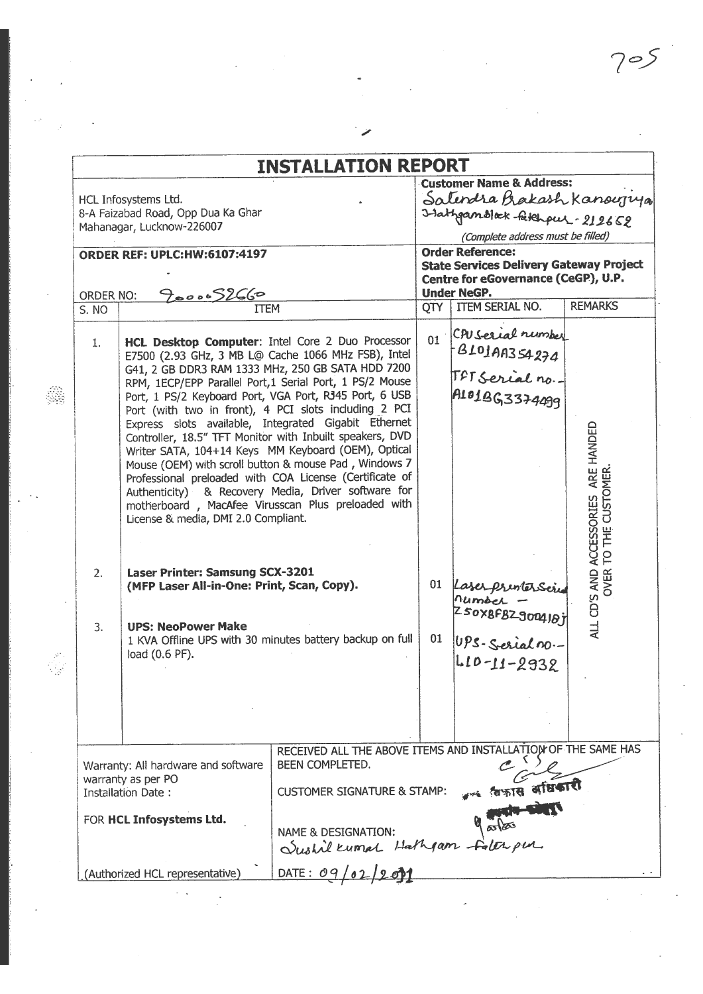$\sim 10^{-10}$ 

|                    |                                                                                                           | <b>INSTALLATION REPORT</b>                                    |     | <b>Customer Name &amp; Address:</b>                                                          |                              |
|--------------------|-----------------------------------------------------------------------------------------------------------|---------------------------------------------------------------|-----|----------------------------------------------------------------------------------------------|------------------------------|
|                    | HCL Infosystems Ltd.                                                                                      |                                                               |     | Satendra Brakash Kanoujuja                                                                   |                              |
|                    | 8-A Faizabad Road, Opp Dua Ka Ghar                                                                        |                                                               |     | I-lathoundlock-fatchpul - 212652                                                             |                              |
|                    | Mahanagar, Lucknow-226007                                                                                 |                                                               |     |                                                                                              |                              |
|                    |                                                                                                           |                                                               |     | (Complete address must be filled)                                                            |                              |
|                    | <b>ORDER REF: UPLC:HW:6107:4197</b>                                                                       |                                                               |     | <b>Order Reference:</b>                                                                      |                              |
|                    |                                                                                                           |                                                               |     | <b>State Services Delivery Gateway Project</b><br>Centre for eGovernance (CeGP), U.P.        |                              |
|                    |                                                                                                           |                                                               |     | <b>Under NeGP.</b>                                                                           |                              |
| ORDER NO:<br>S. NO | 900052660<br><b>ITEM</b>                                                                                  |                                                               | QTY | <b>ITEM SERIAL NO.</b>                                                                       | <b>REMARKS</b>               |
|                    |                                                                                                           |                                                               |     |                                                                                              |                              |
|                    |                                                                                                           |                                                               |     | CPU Serial number                                                                            |                              |
| 1.                 | HCL Desktop Computer: Intel Core 2 Duo Processor                                                          |                                                               | 01  |                                                                                              |                              |
|                    | E7500 (2.93 GHz, 3 MB L@ Cache 1066 MHz FSB), Intel<br>G41, 2 GB DDR3 RAM 1333 MHz, 250 GB SATA HDD 7200  |                                                               |     |                                                                                              |                              |
|                    | RPM, 1ECP/EPP Parallel Port, 1 Serial Port, 1 PS/2 Mouse                                                  |                                                               |     |                                                                                              |                              |
|                    | Port, 1 PS/2 Keyboard Port, VGA Port, R345 Port, 6 USB                                                    |                                                               |     | B101AA354274                                                                                 |                              |
|                    | Port (with two in front), 4 PCI slots including 2 PCI                                                     |                                                               |     |                                                                                              |                              |
|                    | Express slots available, Integrated Gigabit Ethernet                                                      |                                                               |     |                                                                                              |                              |
|                    | Controller, 18.5" TFT Monitor with Inbuilt speakers, DVD                                                  |                                                               |     |                                                                                              | ARE HANDED                   |
|                    | Writer SATA, 104+14 Keys MM Keyboard (OEM), Optical                                                       |                                                               |     |                                                                                              |                              |
|                    | Mouse (OEM) with scroll button & mouse Pad, Windows 7                                                     |                                                               |     |                                                                                              |                              |
|                    | Professional preloaded with COA License (Certificate of                                                   |                                                               |     |                                                                                              |                              |
|                    | Authenticity) & Recovery Media, Driver software for<br>motherboard, MacAfee Virusscan Plus preloaded with |                                                               |     |                                                                                              |                              |
|                    | License & media, DMI 2.0 Compliant.                                                                       |                                                               |     |                                                                                              |                              |
|                    |                                                                                                           |                                                               |     |                                                                                              |                              |
|                    |                                                                                                           |                                                               |     |                                                                                              |                              |
|                    |                                                                                                           |                                                               |     |                                                                                              |                              |
| 2.                 | Laser Printer: Samsung SCX-3201                                                                           |                                                               |     |                                                                                              | ALL CD'S AND ACCESSORIES ARE |
|                    | (MFP Laser All-in-One: Print, Scan, Copy).                                                                |                                                               | 01  |                                                                                              |                              |
|                    |                                                                                                           |                                                               |     |                                                                                              |                              |
| 3.                 | <b>UPS: NeoPower Make</b>                                                                                 |                                                               |     |                                                                                              |                              |
|                    | 1 KVA Offline UPS with 30 minutes battery backup on full                                                  |                                                               | 01  |                                                                                              |                              |
|                    | load (0.6 PF).                                                                                            |                                                               |     |                                                                                              |                              |
|                    |                                                                                                           |                                                               |     | Laser prentersoire<br>Pumber –<br>Z SOXBFBZ 900410j<br>UPS-Serial no.-<br>L I D - I 1 - 2932 |                              |
|                    |                                                                                                           |                                                               |     |                                                                                              |                              |
|                    |                                                                                                           |                                                               |     |                                                                                              |                              |
|                    |                                                                                                           |                                                               |     |                                                                                              |                              |
|                    |                                                                                                           |                                                               |     |                                                                                              |                              |
|                    |                                                                                                           | RECEIVED ALL THE ABOVE ITEMS AND INSTALLATION OF THE SAME HAS |     |                                                                                              |                              |
|                    | Warranty: All hardware and software                                                                       | BEEN COMPLETED.                                               |     |                                                                                              |                              |
|                    | warranty as per PO                                                                                        |                                                               |     |                                                                                              |                              |
|                    | <b>Installation Date:</b>                                                                                 | <b>CUSTOMER SIGNATURE &amp; STAMP:</b>                        |     | *** विकास अधिकारी                                                                            |                              |
|                    |                                                                                                           |                                                               |     |                                                                                              |                              |
|                    | FOR HCL Infosystems Ltd.                                                                                  |                                                               |     |                                                                                              |                              |
|                    |                                                                                                           | NAME & DESIGNATION:                                           |     |                                                                                              |                              |
|                    |                                                                                                           | Sushil Kumal Hathgam falor pur.                               |     |                                                                                              |                              |
|                    | (Authorized HCL representative)                                                                           | DATE: $09/02/9$                                               |     |                                                                                              |                              |
|                    |                                                                                                           |                                                               |     |                                                                                              |                              |

 $\label{eq:2.1} \frac{\partial \mathcal{L}_{\text{max}}}{\partial \mathcal{L}_{\text{max}}(\mathcal{L}_{\text{max}}) } \leq \frac{1}{\sqrt{2}} \sum_{i=1}^{N} \frac{1}{\sqrt{2}} \sum_{i=1}^{N} \frac{1}{\sqrt{2}} \sum_{i=1}^{N} \frac{1}{\sqrt{2}} \sum_{i=1}^{N} \frac{1}{\sqrt{2}} \sum_{i=1}^{N} \frac{1}{\sqrt{2}} \sum_{i=1}^{N} \frac{1}{\sqrt{2}} \sum_{i=1}^{N} \frac{1}{\sqrt{2}} \sum_{i=1}^{N} \frac{1}{\$ 

 $\gamma_{\rm{th}}$ 

 $\hat{\mathcal{L}}$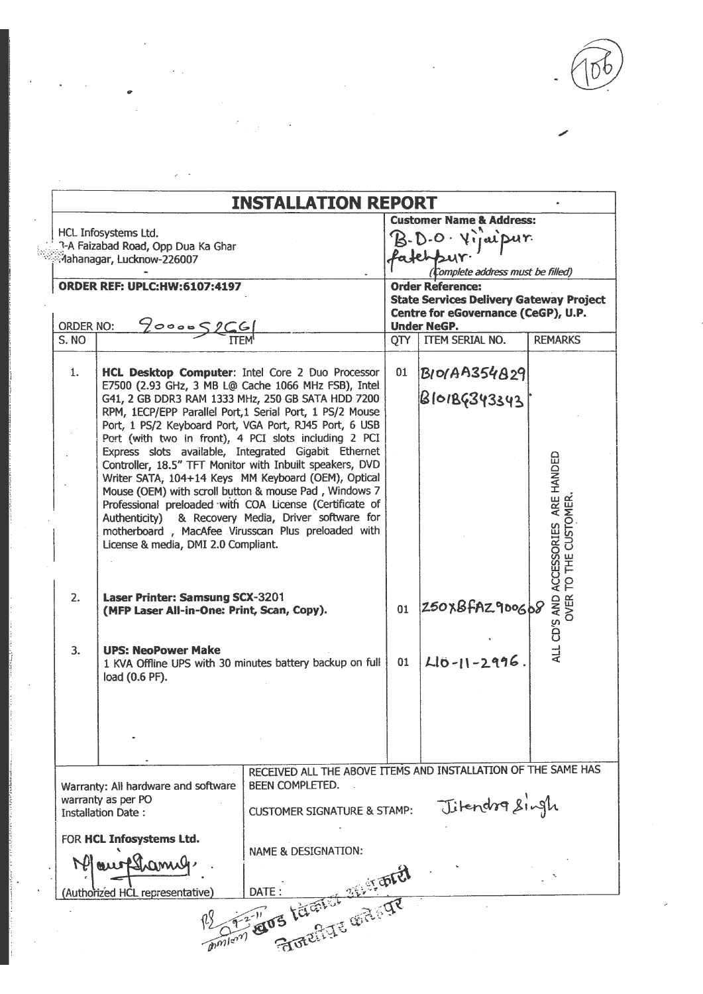$D\Omega$ 

|                                     |                                                                                                                                                                                                                                                                                                                                                                                                                                                                                                                                                                                                                                                                                                                                                                                                | <b>INSTALLATION REPORT</b>                                                                                                 |                                                                                             |                                                                                                                  |                                                        |  |  |
|-------------------------------------|------------------------------------------------------------------------------------------------------------------------------------------------------------------------------------------------------------------------------------------------------------------------------------------------------------------------------------------------------------------------------------------------------------------------------------------------------------------------------------------------------------------------------------------------------------------------------------------------------------------------------------------------------------------------------------------------------------------------------------------------------------------------------------------------|----------------------------------------------------------------------------------------------------------------------------|---------------------------------------------------------------------------------------------|------------------------------------------------------------------------------------------------------------------|--------------------------------------------------------|--|--|
|                                     | HCL Infosystems Ltd.<br>3-A Faizabad Road, Opp Dua Ka Ghar<br>Mahanagar, Lucknow-226007                                                                                                                                                                                                                                                                                                                                                                                                                                                                                                                                                                                                                                                                                                        |                                                                                                                            | <b>Customer Name &amp; Address:</b><br>B.D.O. Viraisur.<br>Complete address must be filled) |                                                                                                                  |                                                        |  |  |
| <b>ORDER REF: UPLC:HW:6107:4197</b> |                                                                                                                                                                                                                                                                                                                                                                                                                                                                                                                                                                                                                                                                                                                                                                                                |                                                                                                                            |                                                                                             | <b>Order Reference:</b><br><b>State Services Delivery Gateway Project</b><br>Centre for eGovernance (CeGP), U.P. |                                                        |  |  |
| ORDER NO:                           | $Y$ 000052CG                                                                                                                                                                                                                                                                                                                                                                                                                                                                                                                                                                                                                                                                                                                                                                                   |                                                                                                                            |                                                                                             | <b>Under NeGP.</b>                                                                                               |                                                        |  |  |
| S. NO                               |                                                                                                                                                                                                                                                                                                                                                                                                                                                                                                                                                                                                                                                                                                                                                                                                |                                                                                                                            |                                                                                             | QTY   ITEM SERIAL NO.                                                                                            | <b>REMARKS</b>                                         |  |  |
| 1.                                  | HCL Desktop Computer: Intel Core 2 Duo Processor<br>E7500 (2.93 GHz, 3 MB L@ Cache 1066 MHz FSB), Intel<br>G41, 2 GB DDR3 RAM 1333 MHz, 250 GB SATA HDD 7200<br>RPM, 1ECP/EPP Parallel Port, 1 Serial Port, 1 PS/2 Mouse<br>Port, 1 PS/2 Keyboard Port, VGA Port, RJ45 Port, 6 USB<br>Port (with two in front), 4 PCI slots including 2 PCI<br>Express slots available, Integrated Gigabit Ethernet<br>Controller, 18.5" TFT Monitor with Inbuilt speakers, DVD<br>Writer SATA, 104+14 Keys MM Keyboard (OEM), Optical<br>Mouse (OEM) with scroll button & mouse Pad, Windows 7<br>Professional preloaded with COA License (Certificate of<br>Authenticity) & Recovery Media, Driver software for<br>motherboard, MacAfee Virusscan Plus preloaded with<br>License & media, DMI 2.0 Compliant. |                                                                                                                            | 01                                                                                          | <b>BIO/AA354829</b><br>B101BG343343                                                                              | ALL CD'S AND ACCESSORIES ARE HANDED<br>TO THE CUSTOMER |  |  |
| 2.                                  | Laser Printer: Samsung SCX-3201<br>(MFP Laser All-in-One: Print, Scan, Copy).                                                                                                                                                                                                                                                                                                                                                                                                                                                                                                                                                                                                                                                                                                                  |                                                                                                                            |                                                                                             | 01 250XBFAZ900608                                                                                                | OVER <sup>-</sup>                                      |  |  |
| 3.                                  | <b>UPS: NeoPower Make</b><br>1 KVA Offline UPS with 30 minutes battery backup on full<br>load (0.6 PF).                                                                                                                                                                                                                                                                                                                                                                                                                                                                                                                                                                                                                                                                                        |                                                                                                                            | 01                                                                                          | $L[0-1]-2996$                                                                                                    |                                                        |  |  |
|                                     |                                                                                                                                                                                                                                                                                                                                                                                                                                                                                                                                                                                                                                                                                                                                                                                                |                                                                                                                            |                                                                                             |                                                                                                                  |                                                        |  |  |
|                                     | Warranty: All hardware and software<br>warranty as per PO<br><b>Installation Date:</b>                                                                                                                                                                                                                                                                                                                                                                                                                                                                                                                                                                                                                                                                                                         | RECEIVED ALL THE ABOVE ITEMS AND INSTALLATION OF THE SAME HAS<br>BEEN COMPLETED.<br><b>CUSTOMER SIGNATURE &amp; STAMP:</b> |                                                                                             | Jitendra Singh                                                                                                   |                                                        |  |  |
|                                     | FOR HCL Infosystems Ltd.<br>Mourframy<br>Authorized HCL representative)                                                                                                                                                                                                                                                                                                                                                                                                                                                                                                                                                                                                                                                                                                                        | <b>NAME &amp; DESIGNATION:</b>                                                                                             |                                                                                             |                                                                                                                  |                                                        |  |  |
|                                     |                                                                                                                                                                                                                                                                                                                                                                                                                                                                                                                                                                                                                                                                                                                                                                                                | Der Wos Large Street                                                                                                       |                                                                                             |                                                                                                                  |                                                        |  |  |

 $\bullet$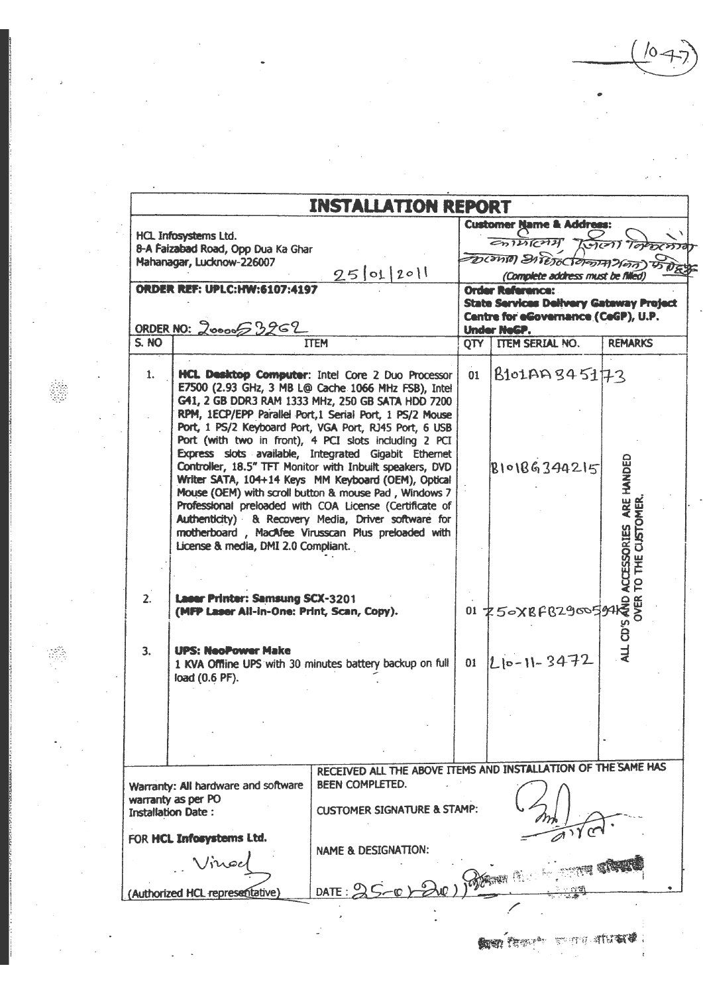. ٥/

|                |                                                                                      |                                                                                                                                                                                                                                                                                                                                                                                                          |    | <b>Customer Name &amp; Address:</b>                     |                 |
|----------------|--------------------------------------------------------------------------------------|----------------------------------------------------------------------------------------------------------------------------------------------------------------------------------------------------------------------------------------------------------------------------------------------------------------------------------------------------------------------------------------------------------|----|---------------------------------------------------------|-----------------|
|                | HCL Infosystems Ltd.                                                                 |                                                                                                                                                                                                                                                                                                                                                                                                          |    | $\epsilon$ n $\widetilde{\nu}$ r $\widetilde{\epsilon}$ | Krient Topochto |
|                | 8-A Faizabad Road, Opp Dua Ka Ghar<br>Mahanagar, Lucknow-226007                      |                                                                                                                                                                                                                                                                                                                                                                                                          |    | DICANTO DI PESOCOPOSTA HESO                             |                 |
|                |                                                                                      | 25012011                                                                                                                                                                                                                                                                                                                                                                                                 |    | (Complete address must be filled)                       |                 |
|                | <b>ORDER REF: UPLC:HW:6107:4197</b>                                                  |                                                                                                                                                                                                                                                                                                                                                                                                          |    | <b>Order Reference:</b>                                 |                 |
|                |                                                                                      |                                                                                                                                                                                                                                                                                                                                                                                                          |    | <b>State Services Delivery Gateway Project</b>          |                 |
|                | ORDER NO: 2000053262                                                                 |                                                                                                                                                                                                                                                                                                                                                                                                          |    | Centre for eGovernance (CeGP), U.P.<br>Under NeGP.      |                 |
| S. NO          |                                                                                      | <b>ITEM</b>                                                                                                                                                                                                                                                                                                                                                                                              |    | OTY TEM SERIAL NO.                                      | <b>REMARKS</b>  |
|                |                                                                                      |                                                                                                                                                                                                                                                                                                                                                                                                          |    |                                                         |                 |
| 1.             |                                                                                      | HCL Desktop Computer: Intel Core 2 Duo Processor<br>E7500 (2.93 GHz, 3 MB L@ Cache 1066 MHz FSB), Intel<br>G41, 2 GB DDR3 RAM 1333 MHz, 250 GB SATA HDD 7200<br>RPM, 1ECP/EPP Parallel Port, 1 Serial Port, 1 PS/2 Mouse<br>Port, 1 PS/2 Keyboard Port, VGA Port, RJ45 Port, 6 USB<br>Port (with two in front), 4 PCI slots including 2 PCI                                                              | 01 | $\beta$ 101AAS45173                                     |                 |
|                | License & media, DMI 2.0 Compliant.                                                  | Express slots available, Integrated Gigabit Ethernet<br>Controller, 18.5" TFT Monitor with Inbuilt speakers, DVD<br>Writer SATA, 104+14 Keys MM Keyboard (OEM), Optical<br>Mouse (OEM) with scroll button & mouse Pad, Windows 7<br>Professional preloaded with COA License (Certificate of<br>Authenticity) & Recovery Media, Driver software for<br>motherboard, MacAfee Virusscan Plus preloaded with |    |                                                         |                 |
| 2.             | <b>Laser Printer: Samsung SCX-3201</b><br>(MFP Laser All-in-One: Print, Scan, Copy). |                                                                                                                                                                                                                                                                                                                                                                                                          |    |                                                         |                 |
| 3 <sub>1</sub> | <b>UPS: NeoPower Make</b><br>load (0.6 PF).                                          | 1 KVA Offline UPS with 30 minutes battery backup on full                                                                                                                                                                                                                                                                                                                                                 | 01 | $ L 0-1 -3472$                                          |                 |
|                |                                                                                      |                                                                                                                                                                                                                                                                                                                                                                                                          |    |                                                         |                 |
|                |                                                                                      |                                                                                                                                                                                                                                                                                                                                                                                                          |    |                                                         |                 |
|                |                                                                                      |                                                                                                                                                                                                                                                                                                                                                                                                          |    |                                                         |                 |
|                |                                                                                      |                                                                                                                                                                                                                                                                                                                                                                                                          |    |                                                         |                 |
|                |                                                                                      | RECEIVED ALL THE ABOVE ITEMS AND INSTALLATION OF THE SAME HAS                                                                                                                                                                                                                                                                                                                                            |    |                                                         |                 |
|                | Warranty: All hardware and software                                                  | <b>BEEN COMPLETED.</b>                                                                                                                                                                                                                                                                                                                                                                                   |    |                                                         |                 |
|                | warranty as per PO<br><b>Installation Date:</b>                                      | <b>CUSTOMER SIGNATURE &amp; STAMP:</b>                                                                                                                                                                                                                                                                                                                                                                   |    |                                                         |                 |
|                | FOR HCL Inforystems Ltd.                                                             |                                                                                                                                                                                                                                                                                                                                                                                                          |    |                                                         |                 |
|                |                                                                                      | <b>NAME &amp; DESIGNATION:</b>                                                                                                                                                                                                                                                                                                                                                                           |    |                                                         |                 |
|                |                                                                                      | DATE: $\frac{0}{2}$                                                                                                                                                                                                                                                                                                                                                                                      |    |                                                         |                 |

J

 $\ddot{\phantom{1}}$ 

 $\bar{\beta}$ 

 $\ddot{\phantom{a}}$ 

l.

 $\bar{z}$ 

 $\overline{\phantom{a}}$ 

 $\bar{u}$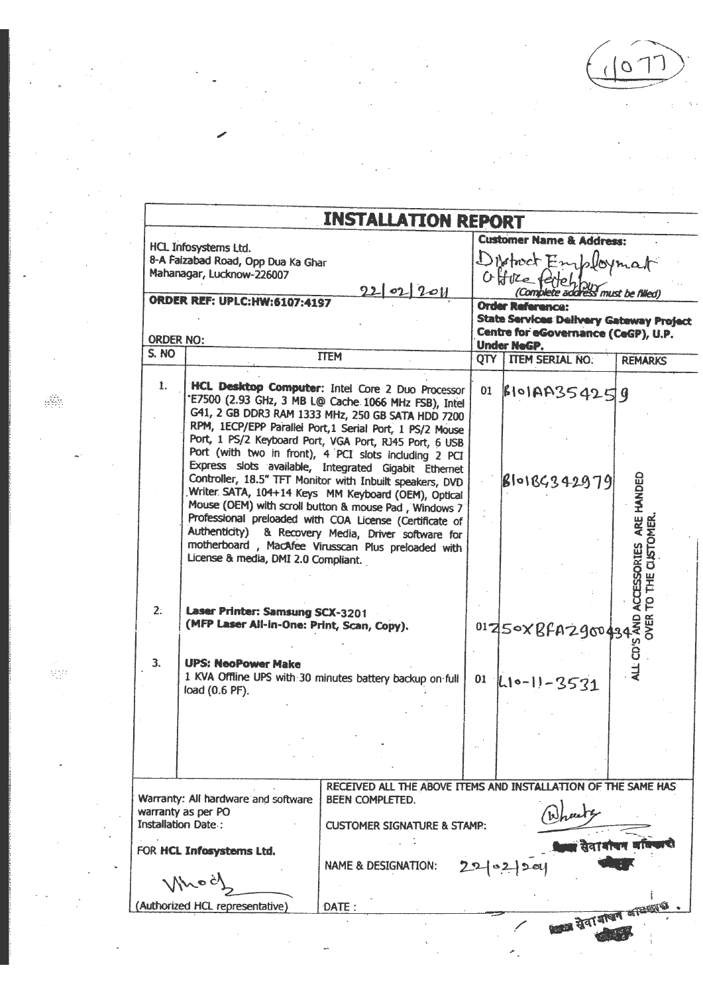$\sigma$ 

计图像

|                  |                                                                               | <b>INSTALLATION REPORT</b>                                                                                                                                                                                                                                                                                                                                                                                                                                        |                                                |                               |
|------------------|-------------------------------------------------------------------------------|-------------------------------------------------------------------------------------------------------------------------------------------------------------------------------------------------------------------------------------------------------------------------------------------------------------------------------------------------------------------------------------------------------------------------------------------------------------------|------------------------------------------------|-------------------------------|
|                  | HCL Infosystems Ltd.                                                          |                                                                                                                                                                                                                                                                                                                                                                                                                                                                   | <b>Customer Name &amp; Address:</b>            |                               |
|                  | 8-A Faizabad Road, Opp Dua Ka Ghar                                            |                                                                                                                                                                                                                                                                                                                                                                                                                                                                   | District Employmat                             |                               |
|                  | Mahanagar, Lucknow-226007                                                     |                                                                                                                                                                                                                                                                                                                                                                                                                                                                   | Offree feitch!                                 |                               |
|                  |                                                                               | 2202201                                                                                                                                                                                                                                                                                                                                                                                                                                                           | ce recient by must be filled)                  |                               |
|                  | <b>ORDER REF: UPLC:HW:6107:4197</b>                                           |                                                                                                                                                                                                                                                                                                                                                                                                                                                                   | <b>Order Reference:</b>                        |                               |
|                  |                                                                               |                                                                                                                                                                                                                                                                                                                                                                                                                                                                   | <b>State Services Delivery Gateway Project</b> |                               |
|                  |                                                                               |                                                                                                                                                                                                                                                                                                                                                                                                                                                                   | Centre for eGovernance (CeGP), U.P.            |                               |
| <b>ORDER NO:</b> |                                                                               |                                                                                                                                                                                                                                                                                                                                                                                                                                                                   | <b>Under NeGP.</b>                             |                               |
| S. NO            |                                                                               | <b>TTEM</b>                                                                                                                                                                                                                                                                                                                                                                                                                                                       | <b>QTY   ITEM SERIAL NO.</b>                   | <b>REMARKS</b>                |
| 1.               |                                                                               | HCL Desktop Computer: Intel Core 2 Duo Processor<br>"E7500 (2.93 GHz, 3 MB L@ Cache 1066 MHz FSB), Intel<br>G41, 2 GB DDR3 RAM 1333 MHz, 250 GB SATA HDD 7200<br>RPM, 1ECP/EPP Parallel Port, 1 Serial Port, 1 PS/2 Mouse<br>Port, 1 PS/2 Keyboard Port, VGA Port, RJ45 Port, 6 USB                                                                                                                                                                               | 01 BIOIAA354259                                |                               |
|                  | License & media, DMI 2.0 Compliant.                                           | Port (with two in front), 4 PCI slots including 2 PCI<br>Express slots available, Integrated Gigabit Ethernet<br>Controller, 18.5" TFT Monitor with Inbuilt speakers, DVD<br>Writer SATA, 104+14 Keys MM Keyboard (OEM), Optical<br>Mouse (OEM) with scroll button & mouse Pad, Windows 7<br>Professional preloaded with COA License (Certificate of<br>Authenticity) & Recovery Media, Driver software for<br>motherboard, MacAfee Virusscan Plus preloaded with | 810184342979                                   | ARE HANDED<br>TO THE CISTOMER |
| 2:               | Laser Printer: Samsung SCX-3201<br>(MFP Laser All-in-One: Print, Scan, Copy). |                                                                                                                                                                                                                                                                                                                                                                                                                                                                   | 01250XBFAZ90043435                             | <b>ACCESSORIES</b>            |
| 3.               | <b>UPS: NeoPower Make</b>                                                     |                                                                                                                                                                                                                                                                                                                                                                                                                                                                   |                                                | ALL CD'                       |
|                  | load (0.6 PF).                                                                | 1 KVA Offline UPS with 30 minutes battery backup on full                                                                                                                                                                                                                                                                                                                                                                                                          | $01$ $ l_1 \circ -  1 - 3531$                  |                               |
|                  |                                                                               |                                                                                                                                                                                                                                                                                                                                                                                                                                                                   |                                                |                               |
|                  |                                                                               |                                                                                                                                                                                                                                                                                                                                                                                                                                                                   |                                                |                               |
|                  |                                                                               |                                                                                                                                                                                                                                                                                                                                                                                                                                                                   |                                                |                               |
|                  |                                                                               |                                                                                                                                                                                                                                                                                                                                                                                                                                                                   |                                                |                               |
|                  |                                                                               |                                                                                                                                                                                                                                                                                                                                                                                                                                                                   |                                                |                               |
|                  |                                                                               |                                                                                                                                                                                                                                                                                                                                                                                                                                                                   |                                                |                               |
|                  |                                                                               | RECEIVED ALL THE ABOVE ITEMS AND INSTALLATION OF THE SAME HAS                                                                                                                                                                                                                                                                                                                                                                                                     |                                                |                               |
|                  | Warranty: All hardware and software<br>warranty as per PO                     | BEEN COMPLETED.                                                                                                                                                                                                                                                                                                                                                                                                                                                   |                                                |                               |
|                  | <b>Installation Date:</b>                                                     | <b>CUSTOMER SIGNATURE &amp; STAMP:</b>                                                                                                                                                                                                                                                                                                                                                                                                                            |                                                |                               |
|                  |                                                                               |                                                                                                                                                                                                                                                                                                                                                                                                                                                                   |                                                |                               |
|                  | FOR HCL Infosystems Ltd.                                                      |                                                                                                                                                                                                                                                                                                                                                                                                                                                                   |                                                |                               |
|                  |                                                                               | <b>NAME &amp; DESIGNATION:</b>                                                                                                                                                                                                                                                                                                                                                                                                                                    |                                                |                               |
|                  |                                                                               |                                                                                                                                                                                                                                                                                                                                                                                                                                                                   |                                                |                               |
|                  | (Authorized HCL representative)                                               | DATE:                                                                                                                                                                                                                                                                                                                                                                                                                                                             |                                                |                               |

u,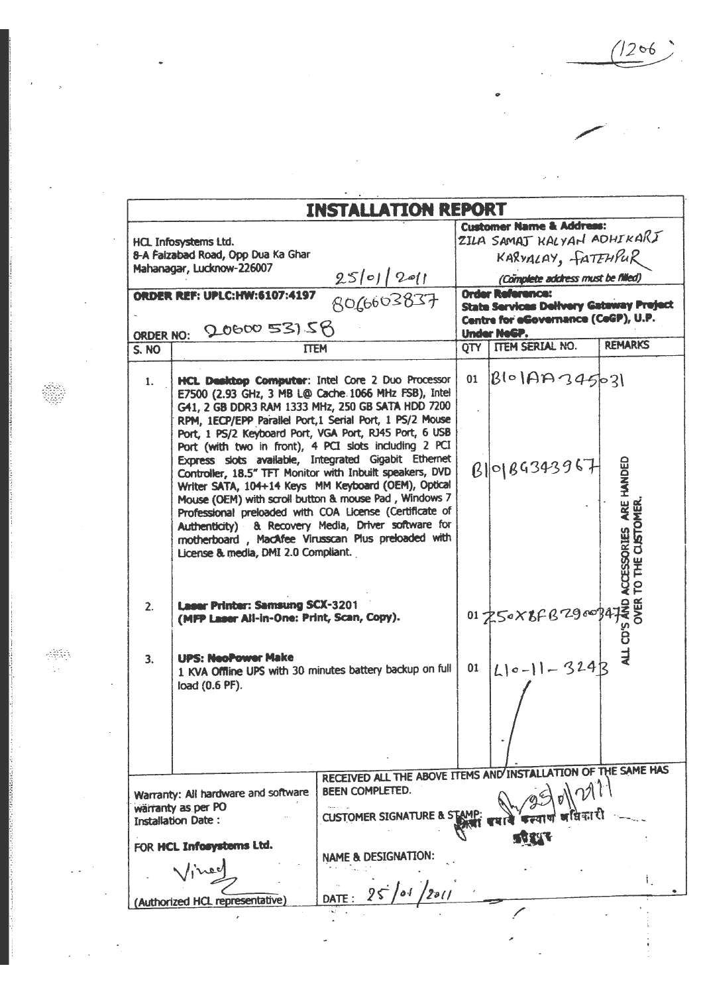$1206$ 

l,

 $\bullet$ 

 $\omega_{\rm{eff}}$ 

J.

 $\mathbf{L}$ 

|              | HCL Infosystems Ltd.                                                                                                                                                                                                                                                                                                                                                                                                                                                                                                                                                                                                                                                                                                                                                                           |                                                                                                                                       |                                                                                                                                        | <b>Customer Name &amp; Address:</b><br>ZILA SAMAJ KALYAN ADHIKARJ |                                                         |  |
|--------------|------------------------------------------------------------------------------------------------------------------------------------------------------------------------------------------------------------------------------------------------------------------------------------------------------------------------------------------------------------------------------------------------------------------------------------------------------------------------------------------------------------------------------------------------------------------------------------------------------------------------------------------------------------------------------------------------------------------------------------------------------------------------------------------------|---------------------------------------------------------------------------------------------------------------------------------------|----------------------------------------------------------------------------------------------------------------------------------------|-------------------------------------------------------------------|---------------------------------------------------------|--|
|              | 8-A Faizabad Road, Opp Dua Ka Ghar                                                                                                                                                                                                                                                                                                                                                                                                                                                                                                                                                                                                                                                                                                                                                             |                                                                                                                                       |                                                                                                                                        | KARVALAY, FATEHPUR                                                |                                                         |  |
|              | Mahanagar, Lucknow-226007                                                                                                                                                                                                                                                                                                                                                                                                                                                                                                                                                                                                                                                                                                                                                                      | $25 0 $ 2011                                                                                                                          |                                                                                                                                        | (Complete address must be filled)                                 |                                                         |  |
|              | <b>ORDER REF: UPLC:HW:6107:4197</b><br>ORDER NO: 20600 531 58                                                                                                                                                                                                                                                                                                                                                                                                                                                                                                                                                                                                                                                                                                                                  | 8066603837                                                                                                                            | <b>Order Reference:</b><br><b>State Services Delivery Gateway Preject</b><br>Centre for eGovernance (CeGP), U.P.<br><b>Under NeGP.</b> |                                                                   |                                                         |  |
| <b>S. NO</b> | <b>TTEM</b>                                                                                                                                                                                                                                                                                                                                                                                                                                                                                                                                                                                                                                                                                                                                                                                    |                                                                                                                                       | OTY                                                                                                                                    | <b>TTEM SERIAL NO.</b>                                            | <b>REMARKS</b>                                          |  |
| 1.           | HCL Desktop Computer: Intel Core 2 Duo Processor<br>E7500 (2.93 GHz, 3 MB L@ Cache 1066 MHz FSB), Intel<br>G41, 2 GB DDR3 RAM 1333 MHz, 250 GB SATA HDD 7200<br>RPM. 1ECP/EPP Parallel Port, 1 Serial Port, 1 PS/2 Mouse<br>Port, 1 PS/2 Keyboard Port, VGA Port, RJ45 Port, 6 USB<br>Port (with two in front), 4 PCI slots including 2 PCI<br>Express slots available, Integrated Gigabit Ethernet<br>Controller, 18.5" TFT Monitor with Inbuilt speakers, DVD<br>Writer SATA, 104+14 Keys MM Keyboard (OEM), Optical<br>Mouse (OEM) with scroll button & mouse Pad, Windows 7<br>Professional preloaded with COA License (Certificate of<br>Authenticity) & Recovery Media, Driver software for<br>motherboard, MacAfee Virusscan Plus preloaded with<br>License & media, DMI 2.0 Compliant. |                                                                                                                                       | 01                                                                                                                                     | $ B $ o $ AB345 $<br>B 0 B6343967                                 | ARE HANDED<br>CLISTOMER<br><b>ACCESSORIES</b><br>TO THE |  |
| 2.           | <b>Laser Printer: Samsung SCX-3201</b><br>(MFP Laser All-in-One: Print, Scan, Copy).                                                                                                                                                                                                                                                                                                                                                                                                                                                                                                                                                                                                                                                                                                           |                                                                                                                                       |                                                                                                                                        | 01 250 × 8 F B 2900 247                                           |                                                         |  |
| 3.           | <b>UPS: NeoPower Make</b><br>1 KVA Offline UPS with 30 minutes battery backup on full<br>load (0.6 PF).                                                                                                                                                                                                                                                                                                                                                                                                                                                                                                                                                                                                                                                                                        |                                                                                                                                       | 01                                                                                                                                     | $ L 0-1 $ - 324k                                                  |                                                         |  |
|              | Warranty: All hardware and software<br>warranty as per PO<br><b>Installation Date:</b><br>FOR HCL Inforystems Ltd.<br>(Authorized HCL representative)                                                                                                                                                                                                                                                                                                                                                                                                                                                                                                                                                                                                                                          | RECEIVED ALL THE ABOVE ITEMS AND INSTAL<br>BEEN COMPLETED.<br><b>CUSTOMER SIGNATURE &amp; STAMP</b><br><b>NAME &amp; DESIGNATION:</b> |                                                                                                                                        |                                                                   | TION OF THE SAME HAS                                    |  |

 $\bar{z}$ 

 $\mathcal{L}_{\text{max}}$  and  $\mathcal{L}_{\text{max}}$ 

 $\mathbb{R}$ 

 $\bar{\mathcal{A}}$ 

 $\frac{1}{2}$ 

▒

 $\bar{\beta}$  $\bar{\mathbb{Z}}$  .

 $\epsilon$  $\frac{1}{\sqrt{2}}$ 

 $\mathbb{Z}$ 

 $\ddot{\phantom{0}}$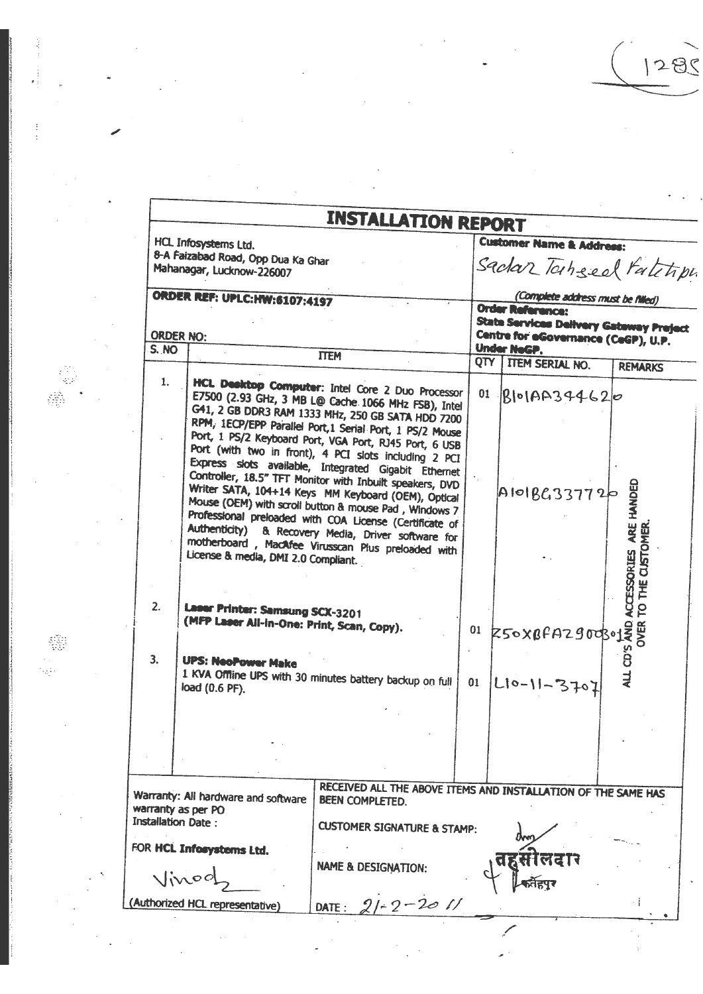|                  |                                                                                                             | <b>INSTALLATION REPORT</b>                                                                                                                                                                                                                                                                                                                                                                                                                                                                                                                                                                                                                                                                                                                              |    |                                                                                       |                                                      |
|------------------|-------------------------------------------------------------------------------------------------------------|---------------------------------------------------------------------------------------------------------------------------------------------------------------------------------------------------------------------------------------------------------------------------------------------------------------------------------------------------------------------------------------------------------------------------------------------------------------------------------------------------------------------------------------------------------------------------------------------------------------------------------------------------------------------------------------------------------------------------------------------------------|----|---------------------------------------------------------------------------------------|------------------------------------------------------|
|                  | HCL Infosystems Ltd.<br>8-A Faizabad Road, Opp Dua Ka Ghar<br>Mahanagar, Lucknow-226007                     |                                                                                                                                                                                                                                                                                                                                                                                                                                                                                                                                                                                                                                                                                                                                                         |    | <b>Customer Name &amp; Address:</b><br>Sadar Tahsed Fatitip                           |                                                      |
|                  | <b>ORDER REF: UPLC: HW:6107:4197</b>                                                                        |                                                                                                                                                                                                                                                                                                                                                                                                                                                                                                                                                                                                                                                                                                                                                         |    | (Complete address must be filled)                                                     |                                                      |
|                  |                                                                                                             |                                                                                                                                                                                                                                                                                                                                                                                                                                                                                                                                                                                                                                                                                                                                                         |    | <b>Order Reference:</b>                                                               |                                                      |
| <b>ORDER NO:</b> |                                                                                                             |                                                                                                                                                                                                                                                                                                                                                                                                                                                                                                                                                                                                                                                                                                                                                         |    | <b>State Services Delivery Gateway Preject</b><br>Centre for eGovernance (CeGP), U.P. |                                                      |
| S. NO            |                                                                                                             | <b>ITEM</b>                                                                                                                                                                                                                                                                                                                                                                                                                                                                                                                                                                                                                                                                                                                                             |    | Under NeGP.<br>QTY TTEM SERIAL NO.                                                    | <b>REMARKS</b>                                       |
| 1.               | License & media, DMI 2.0 Compliant.                                                                         | HCL Desktop Computer: Intel Core 2 Duo Processor<br>E7500 (2.93 GHz, 3 MB L@ Cache 1066 MHz FSB), Intel<br>G41, 2 GB DDR3 RAM 1333 MHz, 250 GB SATA HDD 7200<br>RPM, 1ECP/EPP Parallel Port, 1 Serial Port, 1 PS/2 Mouse<br>Port, 1 PS/2 Keyboard Port, VGA Port, RJ45 Port, 6 USB<br>Port (with two in front), 4 PCI slots including 2 PCI<br>Express slots available, Integrated Gigabit Ethernet<br>Controller, 18.5" TFT Monitor with Inbuilt speakers, DVD<br>Writer SATA, 104+14 Keys MM Keyboard (OEM), Optical<br>Mouse (OEM) with scroll button & mouse Pad, Windows 7<br>Professional preloaded with COA License (Certificate of<br>Authenticity) & Recovery Media, Driver software for<br>motherboard, MacAfee Virusscan Plus preloaded with | 01 | $Rlo$ 1AA344620<br>A101BC337720                                                       | ARE HANDED<br>TO THE CLISTOMER<br><b>ACCESSORIES</b> |
| 2.               | <b>Laser Printer: Samsung SCX-3201</b><br>(MFP Laser All-in-One: Print, Scan, Copy).                        |                                                                                                                                                                                                                                                                                                                                                                                                                                                                                                                                                                                                                                                                                                                                                         |    | $01$ 250xBFAZ90030122                                                                 |                                                      |
| 3 <sub>1</sub>   | <b>UPS: NeoPower Make</b><br>load (0.6 PF).                                                                 | 1 KVA Offline UPS with 30 minutes battery backup on full                                                                                                                                                                                                                                                                                                                                                                                                                                                                                                                                                                                                                                                                                                | 01 | $ Li_0-11-3707$                                                                       | ALL CD'S                                             |
|                  |                                                                                                             |                                                                                                                                                                                                                                                                                                                                                                                                                                                                                                                                                                                                                                                                                                                                                         |    |                                                                                       |                                                      |
|                  |                                                                                                             |                                                                                                                                                                                                                                                                                                                                                                                                                                                                                                                                                                                                                                                                                                                                                         |    |                                                                                       |                                                      |
|                  | Warranty: All hardware and software<br>warranty as per PO<br>Installation Date:<br>FOR HCL Inforystems Ltd. | RECEIVED ALL THE ABOVE ITEMS AND INSTALLATION OF THE SAME HAS<br>BEEN COMPLETED.<br><b>CUSTOMER SIGNATURE &amp; STAMP:</b><br><b>NAME &amp; DESIGNATION:</b>                                                                                                                                                                                                                                                                                                                                                                                                                                                                                                                                                                                            |    |                                                                                       |                                                      |
|                  |                                                                                                             |                                                                                                                                                                                                                                                                                                                                                                                                                                                                                                                                                                                                                                                                                                                                                         |    |                                                                                       |                                                      |
|                  | Authorized HCL representative)                                                                              | $21 - 2 - 2011$<br>DATE:                                                                                                                                                                                                                                                                                                                                                                                                                                                                                                                                                                                                                                                                                                                                |    |                                                                                       |                                                      |

 $\frac{1}{2} \sum_{i=1}^n \frac{1}{2} \frac{1}{2}$ 

 $\label{eq:2} \frac{1}{\sqrt{2}}\left(\frac{1}{\sqrt{2}}\right)^{2} \frac{1}{\sqrt{2}}\left(\frac{1}{\sqrt{2}}\right)^{2}$ 

 $\bar{\bar{z}}$ 

 $\ddot{\phantom{0}}$ 

 $1285$ 

 $\hat{\mathcal{A}}$ 

 $\sim$   $\sim$ 

 $\mathbf{A}^{(1)}$  and  $\mathbf{A}^{(2)}$  and  $\mathbf{A}^{(3)}$ 

 $\hat{\boldsymbol{\beta}}$ 

 $\sim 1$ 

 $\frac{1}{2}$ 

 $\mathcal{L}^{\mathcal{L}}$ 

 $\mathcal{L}(\mathcal{A})$  .

 $\ddot{\phantom{0}}$ 

 $\begin{array}{c} \frac{1}{2} \\ \frac{1}{2} \end{array}$ 

 $\ddot{\phantom{0}}$ 

 $\frac{1}{\sqrt{2}}\left(\frac{1}{\sqrt{2}}\right)^{2}$ 

 $\mathcal{A}$ 

戀

 $\frac{1}{2}$ 

 $\frac{1}{2} \sum_{i=1}^{n} \frac{1}{2} \sum_{j=1}^{n} \frac{1}{2} \sum_{j=1}^{n} \frac{1}{2} \sum_{j=1}^{n} \frac{1}{2} \sum_{j=1}^{n} \frac{1}{2} \sum_{j=1}^{n} \frac{1}{2} \sum_{j=1}^{n} \frac{1}{2} \sum_{j=1}^{n} \frac{1}{2} \sum_{j=1}^{n} \frac{1}{2} \sum_{j=1}^{n} \frac{1}{2} \sum_{j=1}^{n} \frac{1}{2} \sum_{j=1}^{n} \frac{1}{2} \sum_{j=1}^{n$ 

 $\sigma_{\rm{eff}}=2$ 

 $\frac{1}{2}$ 

 $\ddot{\phantom{0}}$ 

 $\frac{1}{2}$ 

@

 $\ddot{\phantom{0}}$ 

 $\overline{\phantom{a}}$ 

 $\hat{\mathcal{A}}$  $\frac{1}{2} \frac{1}{2}$ 

 $\mathcal{L}^{\text{max}}_{\text{max}}$ 

 $\mathcal{L}^{(1)}$  $\ddot{\phantom{a}}$ 

 $\mathcal{L}(\mathcal{A})=\mathcal{L}(\mathcal{A})$